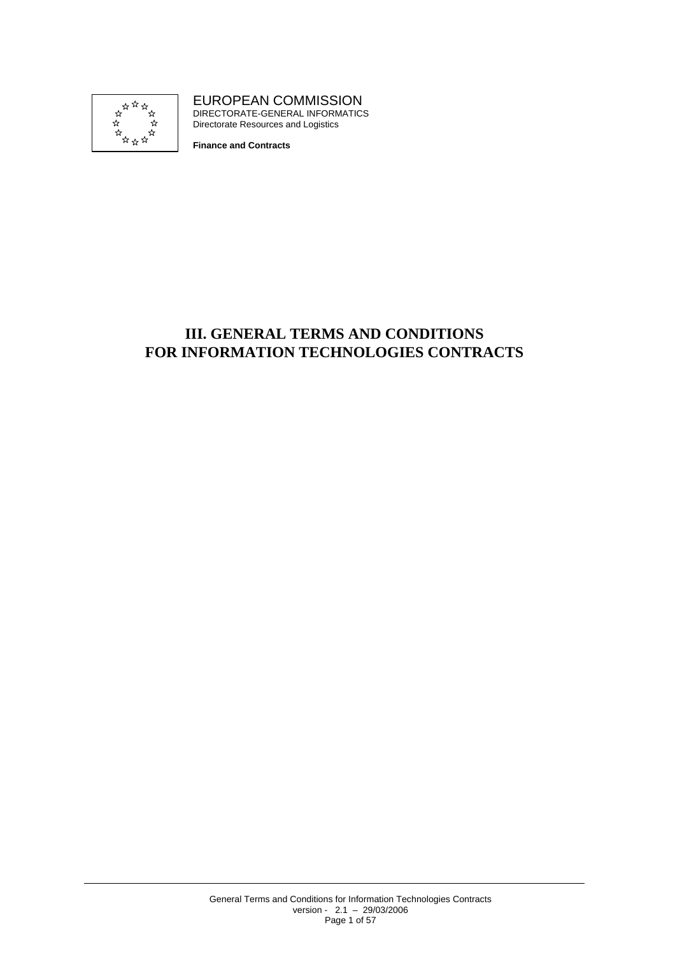

EUROPEAN COMMISSION DIRECTORATE-GENERAL INFORMATICS Directorate Resources and Logistics

**Finance and Contracts** 

# **III. GENERAL TERMS AND CONDITIONS FOR INFORMATION TECHNOLOGIES CONTRACTS**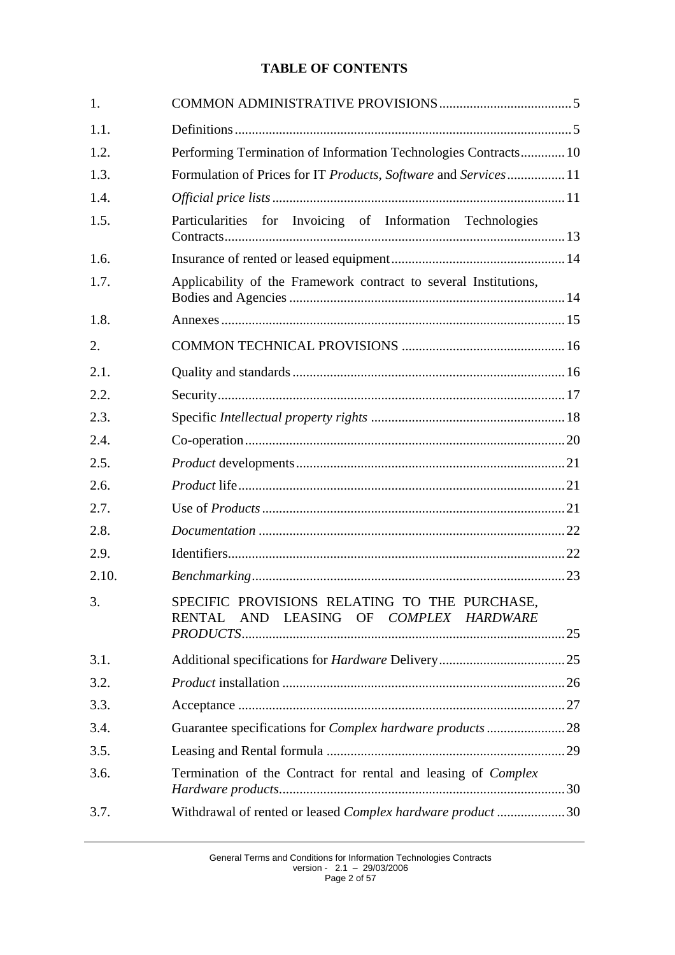# **TABLE OF CONTENTS**

| 1.    |                                                                                                   |  |
|-------|---------------------------------------------------------------------------------------------------|--|
| 1.1.  |                                                                                                   |  |
| 1.2.  | Performing Termination of Information Technologies Contracts 10                                   |  |
| 1.3.  | Formulation of Prices for IT Products, Software and Services11                                    |  |
| 1.4.  |                                                                                                   |  |
| 1.5.  | Particularities for Invoicing of Information Technologies                                         |  |
| 1.6.  |                                                                                                   |  |
| 1.7.  | Applicability of the Framework contract to several Institutions,                                  |  |
| 1.8.  |                                                                                                   |  |
| 2.    |                                                                                                   |  |
| 2.1.  |                                                                                                   |  |
| 2.2.  |                                                                                                   |  |
| 2.3.  |                                                                                                   |  |
| 2.4.  |                                                                                                   |  |
| 2.5.  |                                                                                                   |  |
| 2.6.  |                                                                                                   |  |
| 2.7.  |                                                                                                   |  |
| 2.8.  |                                                                                                   |  |
| 2.9.  |                                                                                                   |  |
| 2.10. |                                                                                                   |  |
| 3.    | SPECIFIC PROVISIONS RELATING TO THE PURCHASE,<br>AND LEASING OF COMPLEX HARDWARE<br><b>RENTAL</b> |  |
|       |                                                                                                   |  |
| 3.1.  |                                                                                                   |  |
| 3.2.  |                                                                                                   |  |
| 3.3.  |                                                                                                   |  |
| 3.4.  |                                                                                                   |  |
| 3.5.  |                                                                                                   |  |
| 3.6.  | Termination of the Contract for rental and leasing of Complex                                     |  |
| 3.7.  | Withdrawal of rented or leased Complex hardware product  30                                       |  |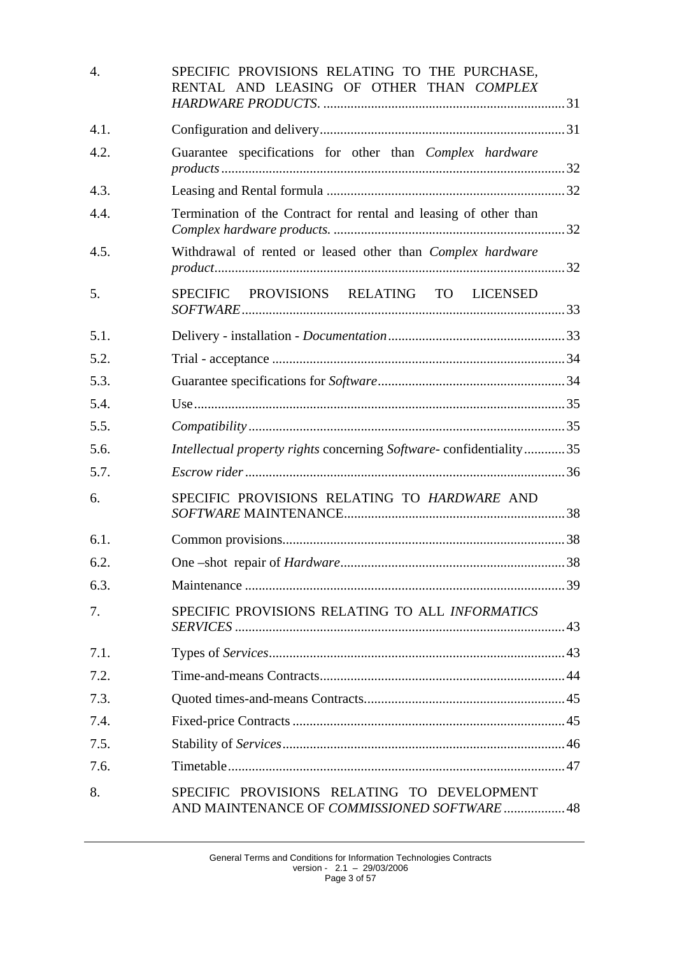| $\overline{4}$ . | SPECIFIC PROVISIONS RELATING TO THE PURCHASE,<br>RENTAL AND LEASING OF OTHER THAN COMPLEX  |  |
|------------------|--------------------------------------------------------------------------------------------|--|
| 4.1.             |                                                                                            |  |
| 4.2.             | Guarantee specifications for other than <i>Complex hardware</i>                            |  |
| 4.3.             |                                                                                            |  |
| 4.4.             | Termination of the Contract for rental and leasing of other than                           |  |
| 4.5.             | Withdrawal of rented or leased other than Complex hardware                                 |  |
| 5.               | SPECIFIC PROVISIONS RELATING TO LICENSED                                                   |  |
| 5.1.             |                                                                                            |  |
| 5.2.             |                                                                                            |  |
| 5.3.             |                                                                                            |  |
| 5.4.             |                                                                                            |  |
| 5.5.             |                                                                                            |  |
| 5.6.             | Intellectual property rights concerning Software-confidentiality35                         |  |
| 5.7.             |                                                                                            |  |
| 6.               | SPECIFIC PROVISIONS RELATING TO HARDWARE AND                                               |  |
| 6.1.             |                                                                                            |  |
| 6.2.             |                                                                                            |  |
| 6.3.             |                                                                                            |  |
| 7.               | SPECIFIC PROVISIONS RELATING TO ALL INFORMATICS                                            |  |
| 7.1.             |                                                                                            |  |
| 7.2.             |                                                                                            |  |
| 7.3.             |                                                                                            |  |
| 7.4.             |                                                                                            |  |
| 7.5.             |                                                                                            |  |
| 7.6.             |                                                                                            |  |
| 8.               | SPECIFIC PROVISIONS RELATING TO DEVELOPMENT<br>AND MAINTENANCE OF COMMISSIONED SOFTWARE 48 |  |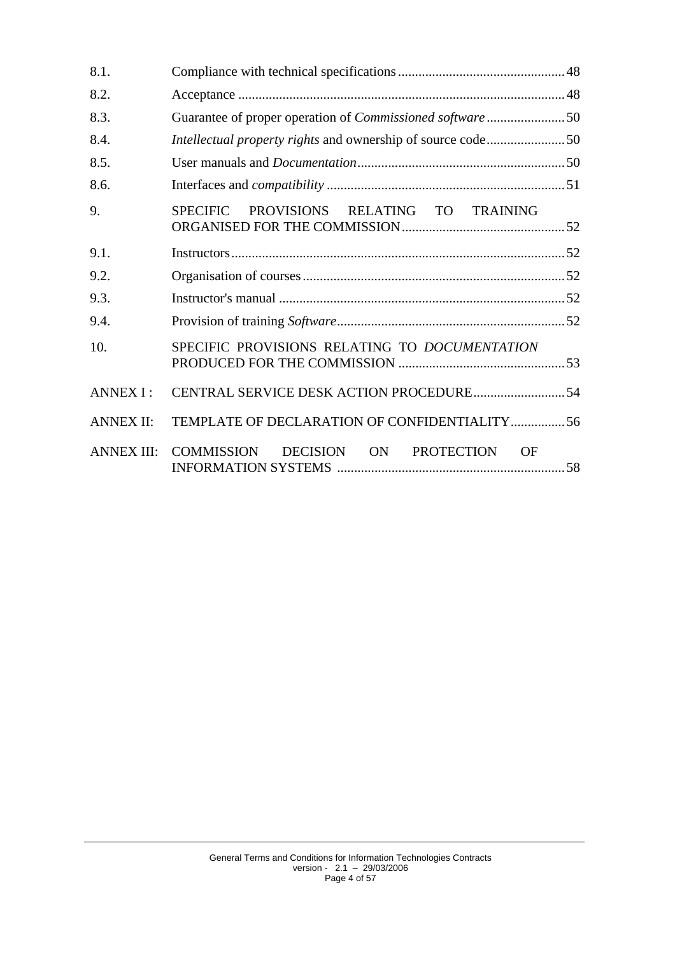| 8.1.              |                                                                  |
|-------------------|------------------------------------------------------------------|
| 8.2.              |                                                                  |
| 8.3.              | Guarantee of proper operation of <i>Commissioned software</i> 50 |
| 8.4.              | Intellectual property rights and ownership of source code50      |
| 8.5.              |                                                                  |
| 8.6.              |                                                                  |
| 9.                | PROVISIONS RELATING TO TRAINING<br><b>SPECIFIC</b>               |
| 9.1.              |                                                                  |
| 9.2.              |                                                                  |
| 9.3.              |                                                                  |
| 9.4.              |                                                                  |
| 10.               | SPECIFIC PROVISIONS RELATING TO DOCUMENTATION                    |
| <b>ANNEX I:</b>   |                                                                  |
| <b>ANNEX II:</b>  | TEMPLATE OF DECLARATION OF CONFIDENTIALITY56                     |
| <b>ANNEX III:</b> | COMMISSION<br>DECISION ON<br><b>PROTECTION</b><br>OF             |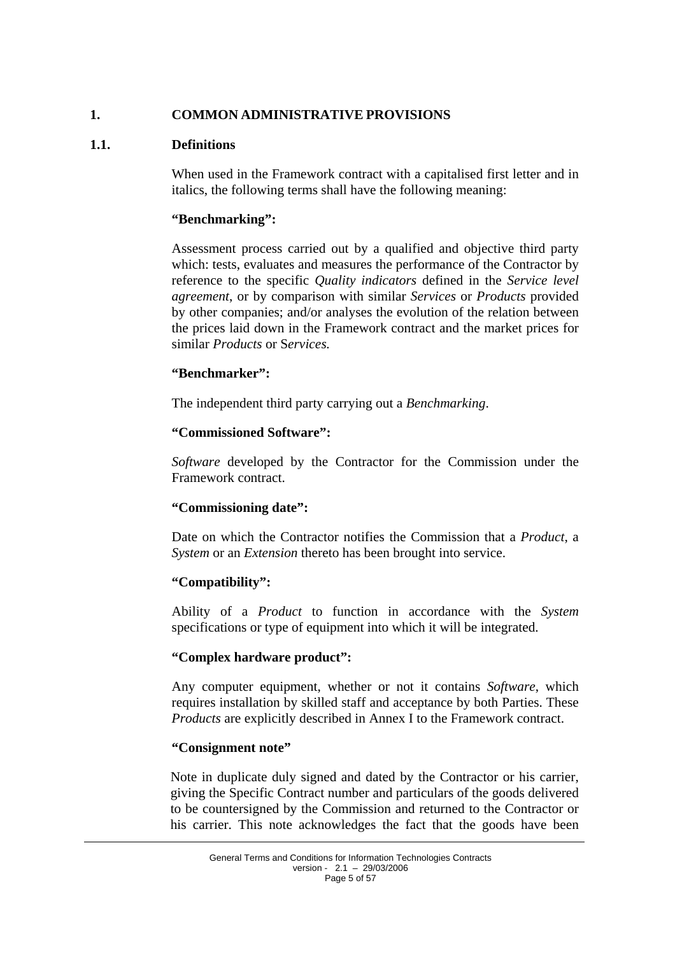## <span id="page-4-1"></span><span id="page-4-0"></span>**1. COMMON ADMINISTRATIVE PROVISIONS**

## **1.1. Definitions**

When used in the Framework contract with a capitalised first letter and in italics, the following terms shall have the following meaning:

### **"Benchmarking":**

Assessment process carried out by a qualified and objective third party which: tests, evaluates and measures the performance of the Contractor by reference to the specific *Quality indicators* defined in the *Service level agreement*, or by comparison with similar *Services* or *Products* provided by other companies; and/or analyses the evolution of the relation between the prices laid down in the Framework contract and the market prices for similar *Products* or S*ervices.*

## **"Benchmarker":**

The independent third party carrying out a *Benchmarking*.

### **"Commissioned Software":**

*Software* developed by the Contractor for the Commission under the Framework contract.

### **"Commissioning date":**

Date on which the Contractor notifies the Commission that a *Product*, a *System* or an *Extension* thereto has been brought into service.

### **"Compatibility":**

Ability of a *Product* to function in accordance with the *System* specifications or type of equipment into which it will be integrated.

### **"Complex hardware product":**

Any computer equipment, whether or not it contains *Software*, which requires installation by skilled staff and acceptance by both Parties. These *Products* are explicitly described in Annex I to the Framework contract.

### **"Consignment note"**

Note in duplicate duly signed and dated by the Contractor or his carrier, giving the Specific Contract number and particulars of the goods delivered to be countersigned by the Commission and returned to the Contractor or his carrier. This note acknowledges the fact that the goods have been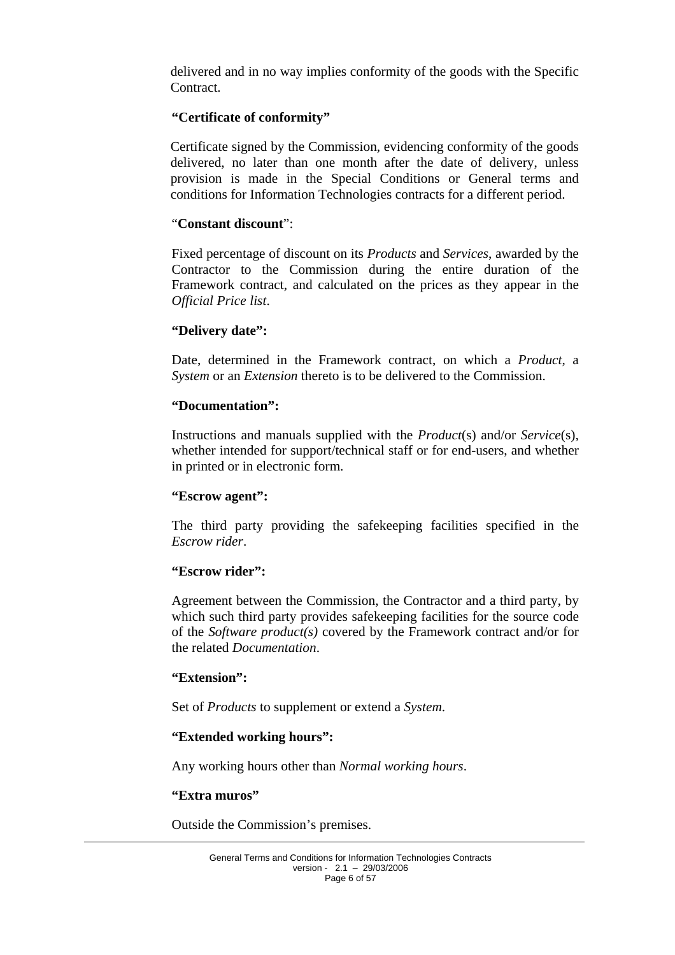delivered and in no way implies conformity of the goods with the Specific Contract.

#### **"Certificate of conformity"**

Certificate signed by the Commission, evidencing conformity of the goods delivered, no later than one month after the date of delivery, unless provision is made in the Special Conditions or General terms and conditions for Information Technologies contracts for a different period.

#### "**Constant discount**":

Fixed percentage of discount on its *Products* and *Services*, awarded by the Contractor to the Commission during the entire duration of the Framework contract, and calculated on the prices as they appear in the *Official Price list*.

#### **"Delivery date":**

Date, determined in the Framework contract, on which a *Product*, a *System* or an *Extension* thereto is to be delivered to the Commission.

#### **"Documentation":**

Instructions and manuals supplied with the *Product*(s) and/or *Service*(s), whether intended for support/technical staff or for end-users, and whether in printed or in electronic form.

#### **"Escrow agent":**

The third party providing the safekeeping facilities specified in the *Escrow rider*.

#### **"Escrow rider":**

Agreement between the Commission, the Contractor and a third party, by which such third party provides safekeeping facilities for the source code of the *Software product(s)* covered by the Framework contract and/or for the related *Documentation*.

#### **"Extension":**

Set of *Products* to supplement or extend a *System*.

#### **"Extended working hours":**

Any working hours other than *Normal working hours*.

#### **"Extra muros"**

Outside the Commission's premises.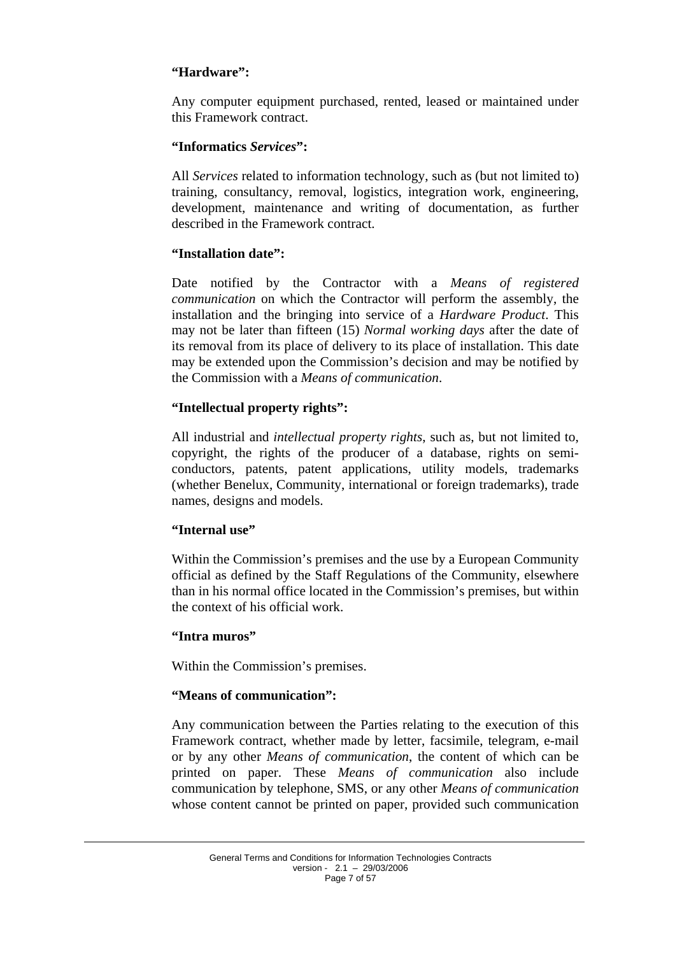## **"Hardware":**

Any computer equipment purchased, rented, leased or maintained under this Framework contract.

### **"Informatics** *Services***":**

All *Services* related to information technology, such as (but not limited to) training, consultancy, removal, logistics, integration work, engineering, development, maintenance and writing of documentation, as further described in the Framework contract.

### **"Installation date":**

Date notified by the Contractor with a *Means of registered communication* on which the Contractor will perform the assembly, the installation and the bringing into service of a *Hardware Product*. This may not be later than fifteen (15) *Normal working days* after the date of its removal from its place of delivery to its place of installation. This date may be extended upon the Commission's decision and may be notified by the Commission with a *Means of communication*.

### **"Intellectual property rights":**

All industrial and *intellectual property rights*, such as, but not limited to, copyright, the rights of the producer of a database, rights on semiconductors, patents, patent applications, utility models, trademarks (whether Benelux, Community, international or foreign trademarks), trade names, designs and models.

### **"Internal use"**

Within the Commission's premises and the use by a European Community official as defined by the Staff Regulations of the Community, elsewhere than in his normal office located in the Commission's premises, but within the context of his official work.

#### **"Intra muros"**

Within the Commission's premises.

### **"Means of communication":**

Any communication between the Parties relating to the execution of this Framework contract, whether made by letter, facsimile, telegram, e-mail or by any other *Means of communication*, the content of which can be printed on paper. These *Means of communication* also include communication by telephone, SMS, or any other *Means of communication* whose content cannot be printed on paper, provided such communication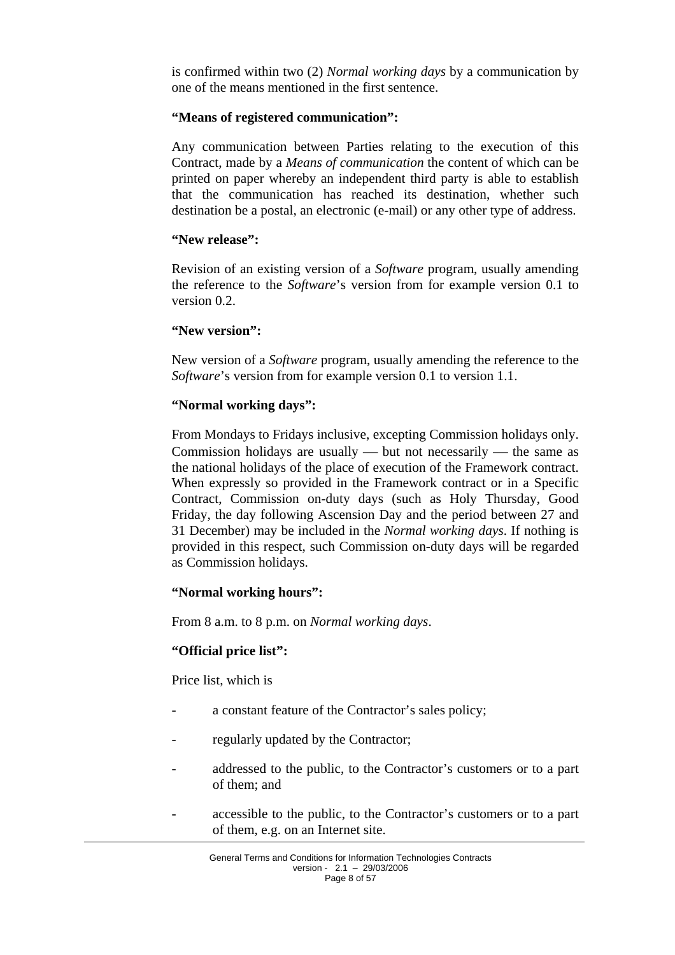is confirmed within two (2) *Normal working days* by a communication by one of the means mentioned in the first sentence.

#### **"Means of registered communication":**

Any communication between Parties relating to the execution of this Contract, made by a *Means of communication* the content of which can be printed on paper whereby an independent third party is able to establish that the communication has reached its destination, whether such destination be a postal, an electronic (e-mail) or any other type of address.

#### **"New release":**

Revision of an existing version of a *Software* program, usually amending the reference to the *Software*'s version from for example version 0.1 to version 0.2.

#### **"New version":**

New version of a *Software* program, usually amending the reference to the *Software*'s version from for example version 0.1 to version 1.1.

### **"Normal working days":**

From Mondays to Fridays inclusive, excepting Commission holidays only. Commission holidays are usually  $-$  but not necessarily  $-$  the same as the national holidays of the place of execution of the Framework contract. When expressly so provided in the Framework contract or in a Specific Contract, Commission on-duty days (such as Holy Thursday, Good Friday, the day following Ascension Day and the period between 27 and 31 December) may be included in the *Normal working days*. If nothing is provided in this respect, such Commission on-duty days will be regarded as Commission holidays.

#### **"Normal working hours":**

From 8 a.m. to 8 p.m. on *Normal working days*.

#### **"Official price list":**

Price list, which is

- a constant feature of the Contractor's sales policy;
- regularly updated by the Contractor;
- addressed to the public, to the Contractor's customers or to a part of them; and
- accessible to the public, to the Contractor's customers or to a part of them, e.g. on an Internet site.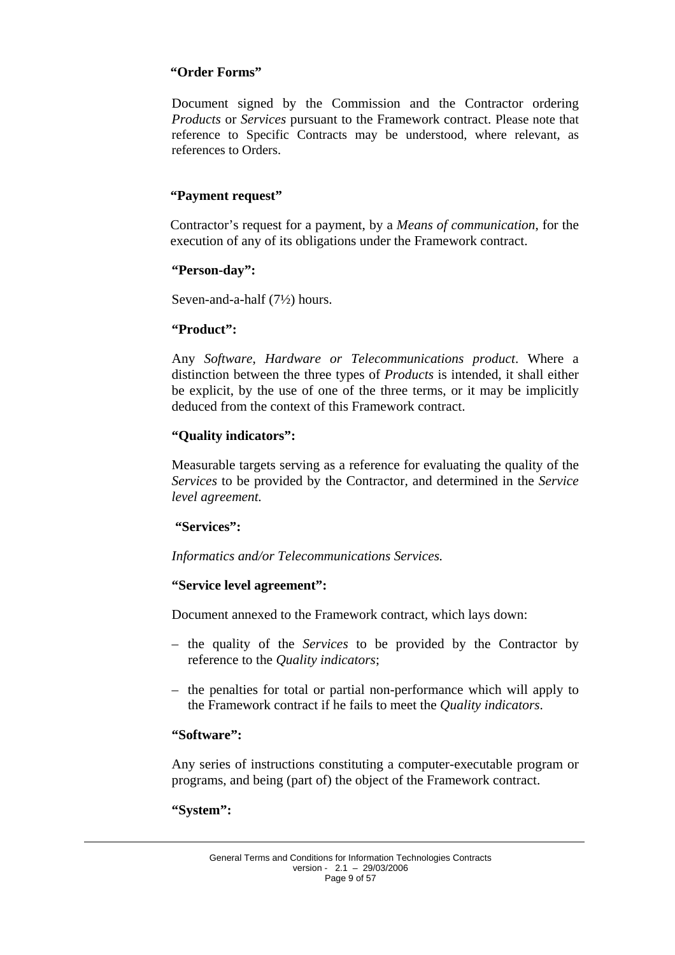### **"Order Forms"**

Document signed by the Commission and the Contractor ordering *Products* or *Services* pursuant to the Framework contract. Please note that reference to Specific Contracts may be understood, where relevant, as references to Orders.

## **"Payment request"**

Contractor's request for a payment, by a *Means of communication*, for the execution of any of its obligations under the Framework contract.

#### **"Person-day":**

Seven-and-a-half (7½) hours.

#### **"Product":**

Any *Software*, *Hardware or Telecommunications product*. Where a distinction between the three types of *Products* is intended, it shall either be explicit, by the use of one of the three terms, or it may be implicitly deduced from the context of this Framework contract.

#### **"Quality indicators":**

Measurable targets serving as a reference for evaluating the quality of the *Services* to be provided by the Contractor*,* and determined in the *Service level agreement.*

### **"Services":**

*Informatics and/or Telecommunications Services.* 

### **"Service level agreement":**

Document annexed to the Framework contract*,* which lays down:

- the quality of the *Services* to be provided by the Contractor by reference to the *Quality indicators*;
- the penalties for total or partial non-performance which will apply to the Framework contract if he fails to meet the *Quality indicators*.

### **"Software":**

Any series of instructions constituting a computer-executable program or programs, and being (part of) the object of the Framework contract.

#### **"System":**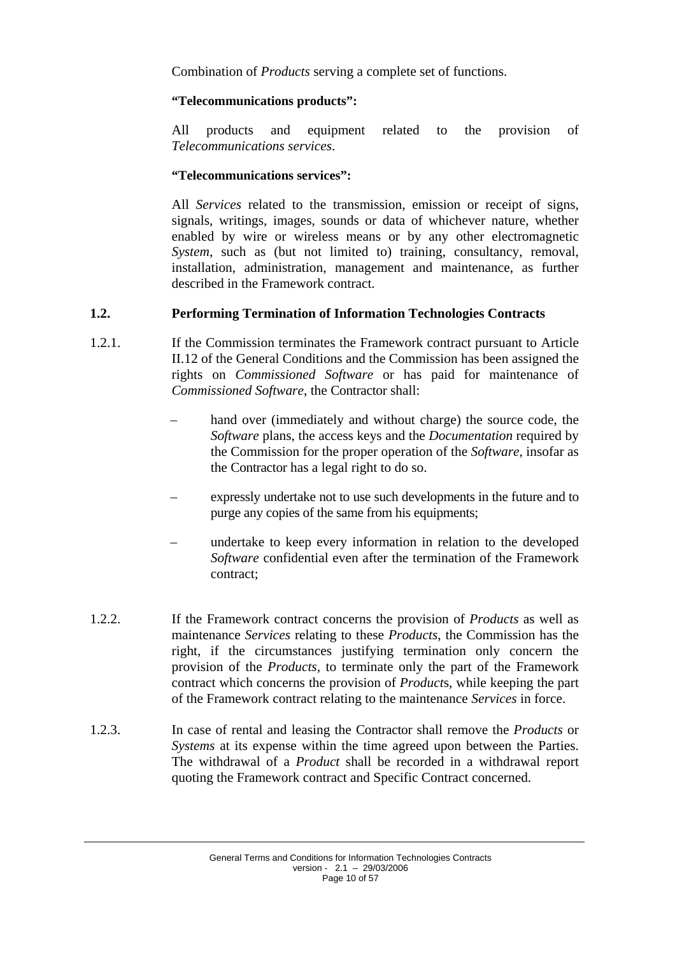Combination of *Products* serving a complete set of functions.

## **"Telecommunications products":**

All products and equipment related to the provision of *Telecommunications services*.

## **"Telecommunications services":**

All *Services* related to the transmission, emission or receipt of signs, signals, writings, images, sounds or data of whichever nature, whether enabled by wire or wireless means or by any other electromagnetic *System*, such as (but not limited to) training, consultancy, removal, installation, administration, management and maintenance, as further described in the Framework contract.

## <span id="page-9-0"></span>**1.2. Performing Termination of Information Technologies Contracts**

- 1.2.1. If the Commission terminates the Framework contract pursuant to Article II.12 of the General Conditions and the Commission has been assigned the rights on *Commissioned Software* or has paid for maintenance of *Commissioned Software*, the Contractor shall:
	- hand over (immediately and without charge) the source code, the *Software* plans, the access keys and the *Documentation* required by the Commission for the proper operation of the *Software*, insofar as the Contractor has a legal right to do so.
	- expressly undertake not to use such developments in the future and to purge any copies of the same from his equipments;
	- undertake to keep every information in relation to the developed *Software* confidential even after the termination of the Framework contract;
- 1.2.2. If the Framework contract concerns the provision of *Products* as well as maintenance *Services* relating to these *Products*, the Commission has the right, if the circumstances justifying termination only concern the provision of the *Products*, to terminate only the part of the Framework contract which concerns the provision of *Product*s, while keeping the part of the Framework contract relating to the maintenance *Services* in force.
- 1.2.3. In case of rental and leasing the Contractor shall remove the *Products* or *Systems* at its expense within the time agreed upon between the Parties. The withdrawal of a *Product* shall be recorded in a withdrawal report quoting the Framework contract and Specific Contract concerned.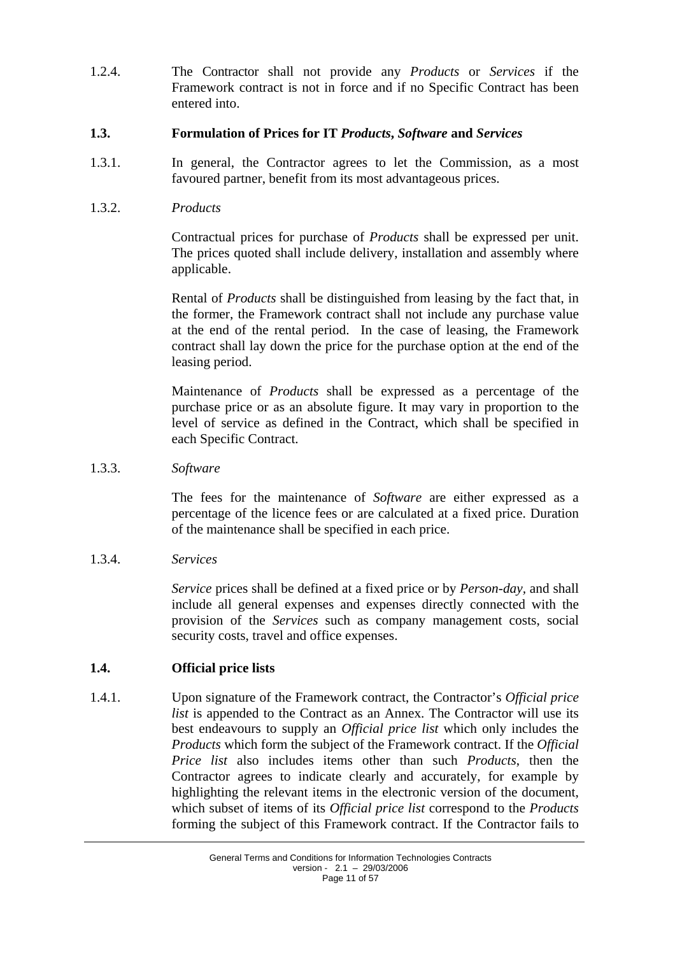1.2.4. The Contractor shall not provide any *Products* or *Services* if the Framework contract is not in force and if no Specific Contract has been entered into.

### <span id="page-10-0"></span>**1.3. Formulation of Prices for IT** *Products***,** *Software* **and** *Services*

1.3.1. In general, the Contractor agrees to let the Commission, as a most favoured partner, benefit from its most advantageous prices.

## 1.3.2. *Products*

Contractual prices for purchase of *Products* shall be expressed per unit. The prices quoted shall include delivery, installation and assembly where applicable.

Rental of *Products* shall be distinguished from leasing by the fact that, in the former, the Framework contract shall not include any purchase value at the end of the rental period. In the case of leasing, the Framework contract shall lay down the price for the purchase option at the end of the leasing period.

Maintenance of *Products* shall be expressed as a percentage of the purchase price or as an absolute figure. It may vary in proportion to the level of service as defined in the Contract, which shall be specified in each Specific Contract.

1.3.3. *Software* 

The fees for the maintenance of *Software* are either expressed as a percentage of the licence fees or are calculated at a fixed price. Duration of the maintenance shall be specified in each price.

1.3.4. *Services* 

*Service* prices shall be defined at a fixed price or by *Person-day,* and shall include all general expenses and expenses directly connected with the provision of the *Services* such as company management costs, social security costs, travel and office expenses.

## <span id="page-10-1"></span>**1.4. Official price lists**

1.4.1. Upon signature of the Framework contract, the Contractor's *Official price list* is appended to the Contract as an Annex. The Contractor will use its best endeavours to supply an *Official price list* which only includes the *Products* which form the subject of the Framework contract. If the *Official Price list* also includes items other than such *Products*, then the Contractor agrees to indicate clearly and accurately, for example by highlighting the relevant items in the electronic version of the document, which subset of items of its *Official price list* correspond to the *Products* forming the subject of this Framework contract. If the Contractor fails to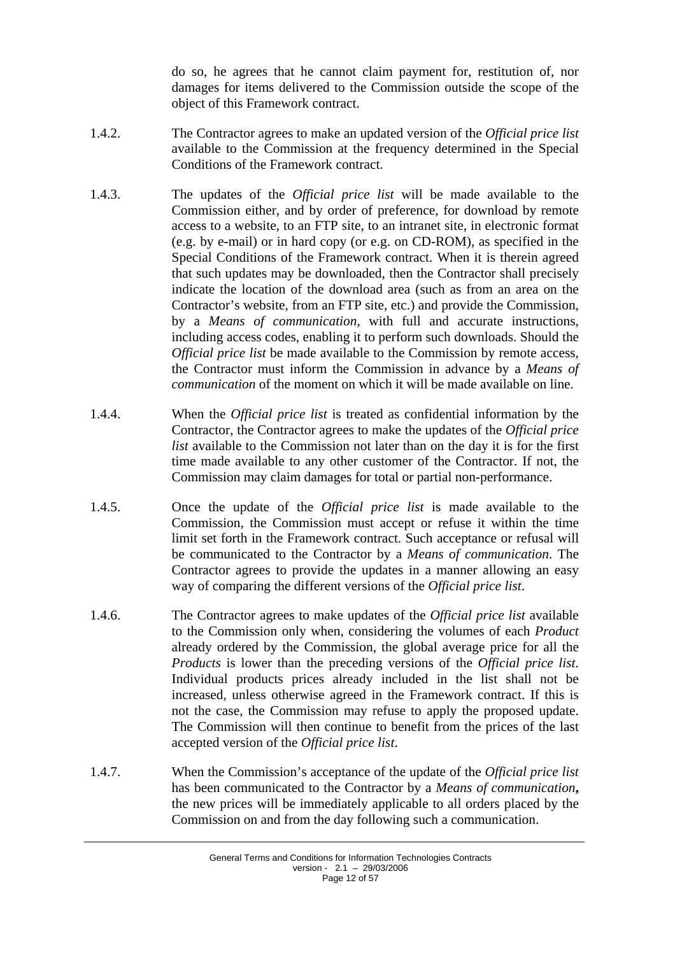do so, he agrees that he cannot claim payment for, restitution of, nor damages for items delivered to the Commission outside the scope of the object of this Framework contract.

- 1.4.2. The Contractor agrees to make an updated version of the *Official price list*  available to the Commission at the frequency determined in the Special Conditions of the Framework contract.
- 1.4.3. The updates of the *Official price list* will be made available to the Commission either, and by order of preference, for download by remote access to a website, to an FTP site, to an intranet site, in electronic format (e.g. by e-mail) or in hard copy (or e.g. on CD-ROM), as specified in the Special Conditions of the Framework contract. When it is therein agreed that such updates may be downloaded, then the Contractor shall precisely indicate the location of the download area (such as from an area on the Contractor's website, from an FTP site, etc.) and provide the Commission, by a *Means of communication*, with full and accurate instructions, including access codes, enabling it to perform such downloads. Should the *Official price list* be made available to the Commission by remote access, the Contractor must inform the Commission in advance by a *Means of communication* of the moment on which it will be made available on line.
- 1.4.4. When the *Official price list* is treated as confidential information by the Contractor, the Contractor agrees to make the updates of the *Official price list* available to the Commission not later than on the day it is for the first time made available to any other customer of the Contractor. If not, the Commission may claim damages for total or partial non-performance.
- 1.4.5. Once the update of the *Official price list* is made available to the Commission, the Commission must accept or refuse it within the time limit set forth in the Framework contract. Such acceptance or refusal will be communicated to the Contractor by a *Means of communication*. The Contractor agrees to provide the updates in a manner allowing an easy way of comparing the different versions of the *Official price list*.
- 1.4.6. The Contractor agrees to make updates of the *Official price list* available to the Commission only when, considering the volumes of each *Product* already ordered by the Commission, the global average price for all the *Products* is lower than the preceding versions of the *Official price list*. Individual products prices already included in the list shall not be increased, unless otherwise agreed in the Framework contract. If this is not the case, the Commission may refuse to apply the proposed update. The Commission will then continue to benefit from the prices of the last accepted version of the *Official price list*.
- 1.4.7. When the Commission's acceptance of the update of the *Official price list* has been communicated to the Contractor by a *Means of communication***,** the new prices will be immediately applicable to all orders placed by the Commission on and from the day following such a communication.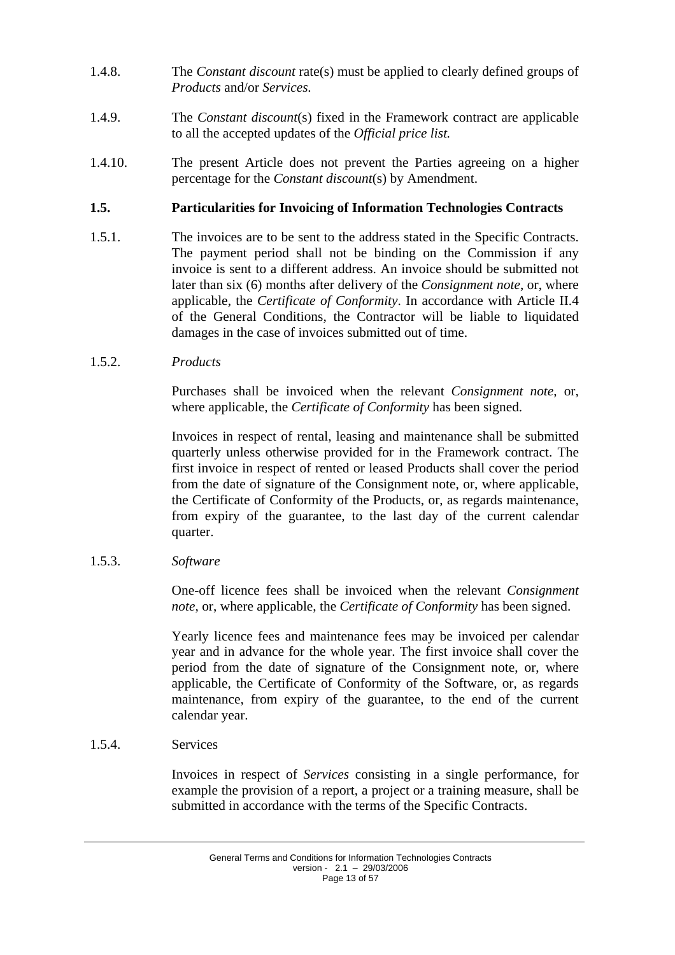- 1.4.8. The *Constant discount* rate(s) must be applied to clearly defined groups of *Products* and/or *Services.*
- 1.4.9. The *Constant discount*(s) fixed in the Framework contract are applicable to all the accepted updates of the *Official price list.*
- 1.4.10. The present Article does not prevent the Parties agreeing on a higher percentage for the *Constant discount*(s) by Amendment.

### <span id="page-12-0"></span>**1.5. Particularities for Invoicing of Information Technologies Contracts**

- 1.5.1. The invoices are to be sent to the address stated in the Specific Contracts. The payment period shall not be binding on the Commission if any invoice is sent to a different address. An invoice should be submitted not later than six (6) months after delivery of the *Consignment note*, or, where applicable, the *Certificate of Conformity*. In accordance with Article II.4 of the General Conditions, the Contractor will be liable to liquidated damages in the case of invoices submitted out of time.
- 1.5.2. *Products*

Purchases shall be invoiced when the relevant *Consignment note*, or, where applicable, the *Certificate of Conformity* has been signed.

Invoices in respect of rental, leasing and maintenance shall be submitted quarterly unless otherwise provided for in the Framework contract. The first invoice in respect of rented or leased Products shall cover the period from the date of signature of the Consignment note, or, where applicable, the Certificate of Conformity of the Products, or, as regards maintenance, from expiry of the guarantee, to the last day of the current calendar quarter.

1.5.3. *Software* 

One-off licence fees shall be invoiced when the relevant *Consignment note*, or, where applicable, the *Certificate of Conformity* has been signed.

Yearly licence fees and maintenance fees may be invoiced per calendar year and in advance for the whole year. The first invoice shall cover the period from the date of signature of the Consignment note, or, where applicable, the Certificate of Conformity of the Software, or, as regards maintenance, from expiry of the guarantee, to the end of the current calendar year.

1.5.4. Services

Invoices in respect of *Services* consisting in a single performance, for example the provision of a report, a project or a training measure, shall be submitted in accordance with the terms of the Specific Contracts.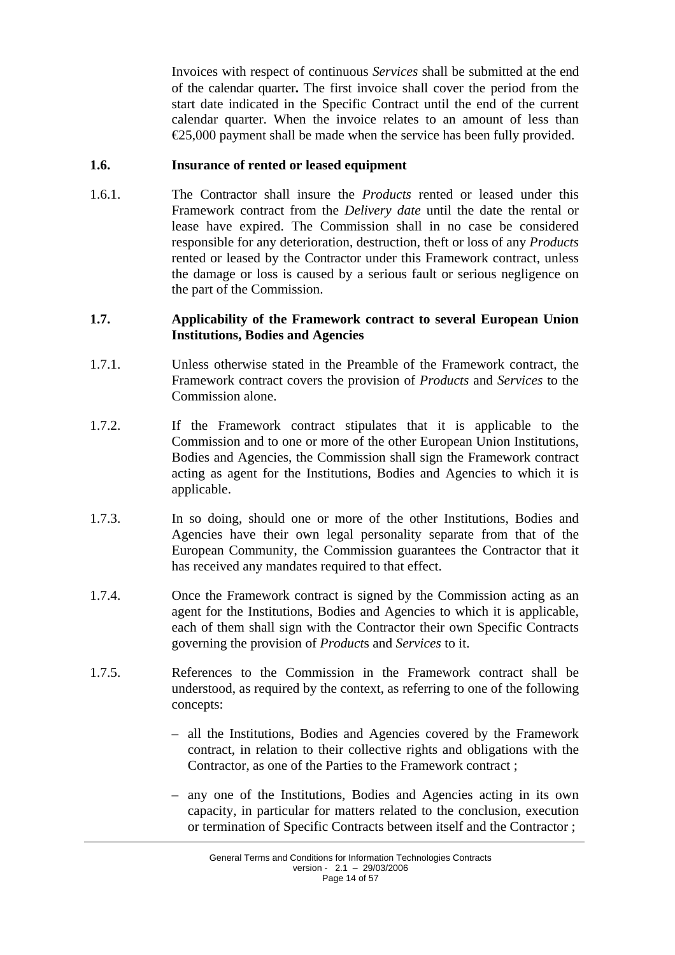Invoices with respect of continuous *Services* shall be submitted at the end of the calendar quarter**.** The first invoice shall cover the period from the start date indicated in the Specific Contract until the end of the current calendar quarter. When the invoice relates to an amount of less than  $E$ 5,000 payment shall be made when the service has been fully provided.

### <span id="page-13-0"></span>**1.6. Insurance of rented or leased equipment**

1.6.1. The Contractor shall insure the *Products* rented or leased under this Framework contract from the *Delivery date* until the date the rental or lease have expired. The Commission shall in no case be considered responsible for any deterioration, destruction, theft or loss of any *Products* rented or leased by the Contractor under this Framework contract, unless the damage or loss is caused by a serious fault or serious negligence on the part of the Commission.

### <span id="page-13-1"></span>**1.7. Applicability of the Framework contract to several European Union Institutions, Bodies and Agencies**

- 1.7.1. Unless otherwise stated in the Preamble of the Framework contract, the Framework contract covers the provision of *Products* and *Services* to the Commission alone.
- 1.7.2. If the Framework contract stipulates that it is applicable to the Commission and to one or more of the other European Union Institutions, Bodies and Agencies, the Commission shall sign the Framework contract acting as agent for the Institutions, Bodies and Agencies to which it is applicable.
- 1.7.3. In so doing, should one or more of the other Institutions, Bodies and Agencies have their own legal personality separate from that of the European Community, the Commission guarantees the Contractor that it has received any mandates required to that effect.
- 1.7.4. Once the Framework contract is signed by the Commission acting as an agent for the Institutions, Bodies and Agencies to which it is applicable, each of them shall sign with the Contractor their own Specific Contracts governing the provision of *Product*s and *Services* to it.
- 1.7.5. References to the Commission in the Framework contract shall be understood, as required by the context, as referring to one of the following concepts:
	- all the Institutions, Bodies and Agencies covered by the Framework contract, in relation to their collective rights and obligations with the Contractor, as one of the Parties to the Framework contract ;
	- any one of the Institutions, Bodies and Agencies acting in its own capacity, in particular for matters related to the conclusion, execution or termination of Specific Contracts between itself and the Contractor ;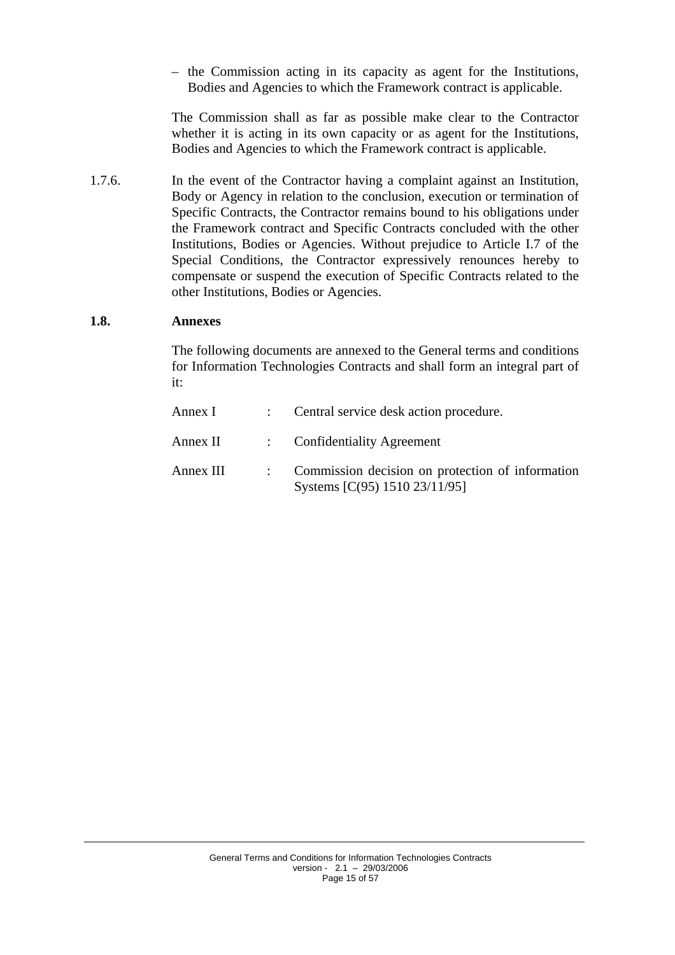– the Commission acting in its capacity as agent for the Institutions, Bodies and Agencies to which the Framework contract is applicable.

The Commission shall as far as possible make clear to the Contractor whether it is acting in its own capacity or as agent for the Institutions, Bodies and Agencies to which the Framework contract is applicable.

1.7.6. In the event of the Contractor having a complaint against an Institution, Body or Agency in relation to the conclusion, execution or termination of Specific Contracts, the Contractor remains bound to his obligations under the Framework contract and Specific Contracts concluded with the other Institutions, Bodies or Agencies. Without prejudice to Article I.7 of the Special Conditions, the Contractor expressively renounces hereby to compensate or suspend the execution of Specific Contracts related to the other Institutions, Bodies or Agencies.

#### <span id="page-14-0"></span>**1.8. Annexes**

The following documents are annexed to the General terms and conditions for Information Technologies Contracts and shall form an integral part of it:

| Annex I   | : Central service desk action procedure.                                            |
|-----------|-------------------------------------------------------------------------------------|
| Annex II  | : Confidentiality Agreement                                                         |
| Annex III | : Commission decision on protection of information<br>Systems [C(95) 1510 23/11/95] |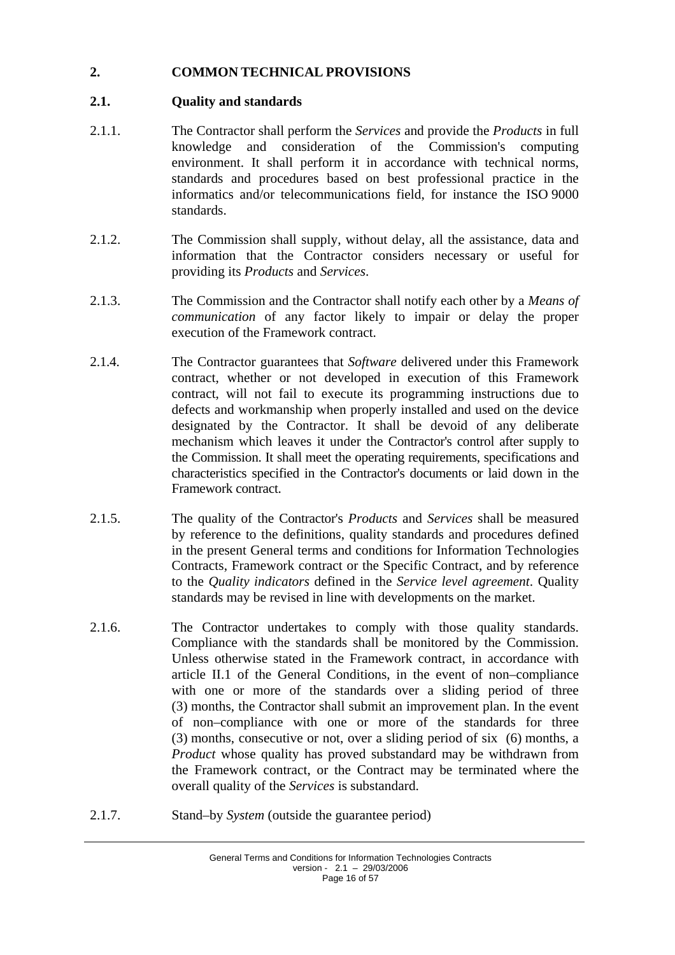## <span id="page-15-1"></span><span id="page-15-0"></span>**2. COMMON TECHNICAL PROVISIONS**

## **2.1. Quality and standards**

- 2.1.1. The Contractor shall perform the *Services* and provide the *Products* in full knowledge and consideration of the Commission's computing environment. It shall perform it in accordance with technical norms, standards and procedures based on best professional practice in the informatics and/or telecommunications field, for instance the ISO 9000 standards.
- 2.1.2. The Commission shall supply, without delay, all the assistance, data and information that the Contractor considers necessary or useful for providing its *Products* and *Services*.
- 2.1.3. The Commission and the Contractor shall notify each other by a *Means of communication* of any factor likely to impair or delay the proper execution of the Framework contract.
- 2.1.4. The Contractor guarantees that *Software* delivered under this Framework contract, whether or not developed in execution of this Framework contract, will not fail to execute its programming instructions due to defects and workmanship when properly installed and used on the device designated by the Contractor. It shall be devoid of any deliberate mechanism which leaves it under the Contractor's control after supply to the Commission. It shall meet the operating requirements, specifications and characteristics specified in the Contractor's documents or laid down in the Framework contract.
- 2.1.5. The quality of the Contractor's *Products* and *Services* shall be measured by reference to the definitions, quality standards and procedures defined in the present General terms and conditions for Information Technologies Contracts, Framework contract or the Specific Contract, and by reference to the *Quality indicators* defined in the *Service level agreement*. Quality standards may be revised in line with developments on the market.
- 2.1.6. The Contractor undertakes to comply with those quality standards. Compliance with the standards shall be monitored by the Commission. Unless otherwise stated in the Framework contract, in accordance with article II.1 of the General Conditions, in the event of non–compliance with one or more of the standards over a sliding period of three (3) months, the Contractor shall submit an improvement plan. In the event of non–compliance with one or more of the standards for three (3) months, consecutive or not, over a sliding period of six (6) months, a *Product* whose quality has proved substandard may be withdrawn from the Framework contract, or the Contract may be terminated where the overall quality of the *Services* is substandard.
- 2.1.7. Stand–by *System* (outside the guarantee period)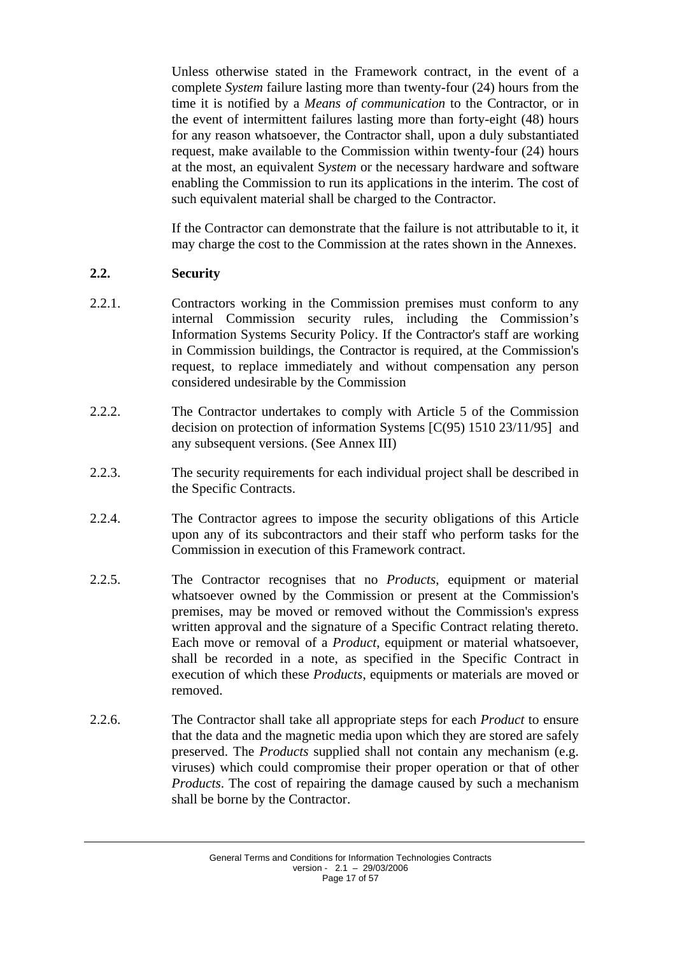Unless otherwise stated in the Framework contract, in the event of a complete *System* failure lasting more than twenty-four (24) hours from the time it is notified by a *Means of communication* to the Contractor, or in the event of intermittent failures lasting more than forty-eight (48) hours for any reason whatsoever, the Contractor shall, upon a duly substantiated request, make available to the Commission within twenty-four (24) hours at the most, an equivalent S*ystem* or the necessary hardware and software enabling the Commission to run its applications in the interim. The cost of such equivalent material shall be charged to the Contractor.

If the Contractor can demonstrate that the failure is not attributable to it, it may charge the cost to the Commission at the rates shown in the Annexes.

## <span id="page-16-0"></span>**2.2. Security**

- 2.2.1. Contractors working in the Commission premises must conform to any internal Commission security rules, including the Commission's Information Systems Security Policy. If the Contractor's staff are working in Commission buildings, the Contractor is required, at the Commission's request, to replace immediately and without compensation any person considered undesirable by the Commission
- 2.2.2. The Contractor undertakes to comply with Article 5 of the Commission decision on protection of information Systems [C(95) 1510 23/11/95] and any subsequent versions. (See Annex III)
- 2.2.3. The security requirements for each individual project shall be described in the Specific Contracts.
- 2.2.4. The Contractor agrees to impose the security obligations of this Article upon any of its subcontractors and their staff who perform tasks for the Commission in execution of this Framework contract.
- 2.2.5. The Contractor recognises that no *Products*, equipment or material whatsoever owned by the Commission or present at the Commission's premises, may be moved or removed without the Commission's express written approval and the signature of a Specific Contract relating thereto. Each move or removal of a *Product*, equipment or material whatsoever, shall be recorded in a note, as specified in the Specific Contract in execution of which these *Products*, equipments or materials are moved or removed.
- 2.2.6. The Contractor shall take all appropriate steps for each *Product* to ensure that the data and the magnetic media upon which they are stored are safely preserved. The *Products* supplied shall not contain any mechanism (e.g. viruses) which could compromise their proper operation or that of other *Products*. The cost of repairing the damage caused by such a mechanism shall be borne by the Contractor.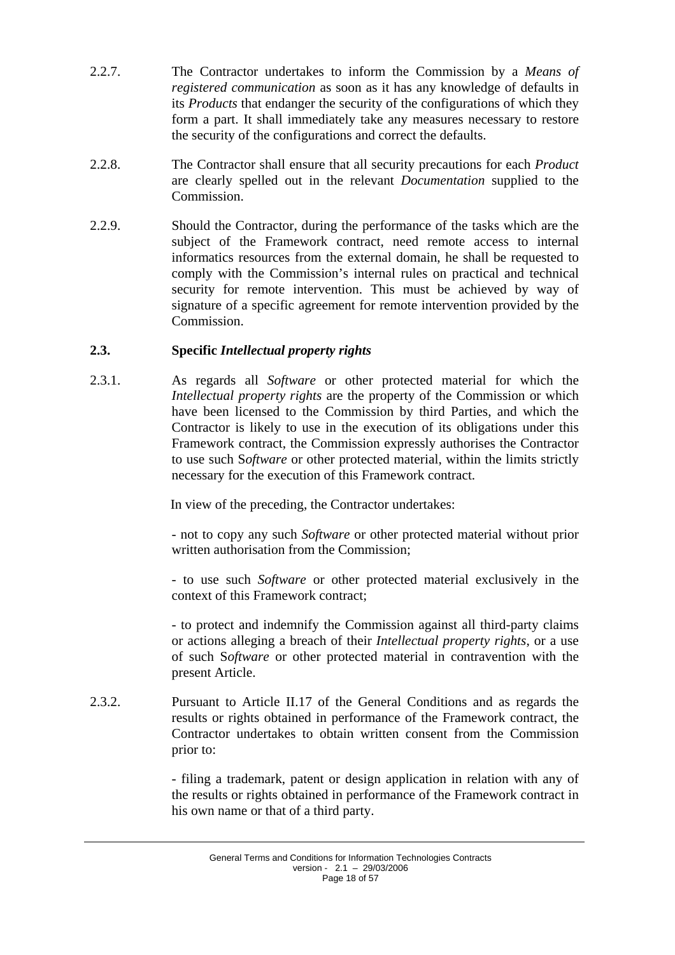- 2.2.7. The Contractor undertakes to inform the Commission by a *Means of registered communication* as soon as it has any knowledge of defaults in its *Products* that endanger the security of the configurations of which they form a part. It shall immediately take any measures necessary to restore the security of the configurations and correct the defaults.
- 2.2.8. The Contractor shall ensure that all security precautions for each *Product* are clearly spelled out in the relevant *Documentation* supplied to the Commission.
- 2.2.9. Should the Contractor, during the performance of the tasks which are the subject of the Framework contract, need remote access to internal informatics resources from the external domain, he shall be requested to comply with the Commission's internal rules on practical and technical security for remote intervention. This must be achieved by way of signature of a specific agreement for remote intervention provided by the Commission.

## <span id="page-17-0"></span>**2.3. Specific** *Intellectual property rights*

2.3.1. As regards all *Software* or other protected material for which the *Intellectual property rights* are the property of the Commission or which have been licensed to the Commission by third Parties, and which the Contractor is likely to use in the execution of its obligations under this Framework contract, the Commission expressly authorises the Contractor to use such S*oftware* or other protected material, within the limits strictly necessary for the execution of this Framework contract.

In view of the preceding, the Contractor undertakes:

- not to copy any such *Software* or other protected material without prior written authorisation from the Commission;

- to use such *Software* or other protected material exclusively in the context of this Framework contract;

- to protect and indemnify the Commission against all third-party claims or actions alleging a breach of their *Intellectual property rights*, or a use of such S*oftware* or other protected material in contravention with the present Article.

2.3.2. Pursuant to Article II.17 of the General Conditions and as regards the results or rights obtained in performance of the Framework contract, the Contractor undertakes to obtain written consent from the Commission prior to:

> - filing a trademark, patent or design application in relation with any of the results or rights obtained in performance of the Framework contract in his own name or that of a third party.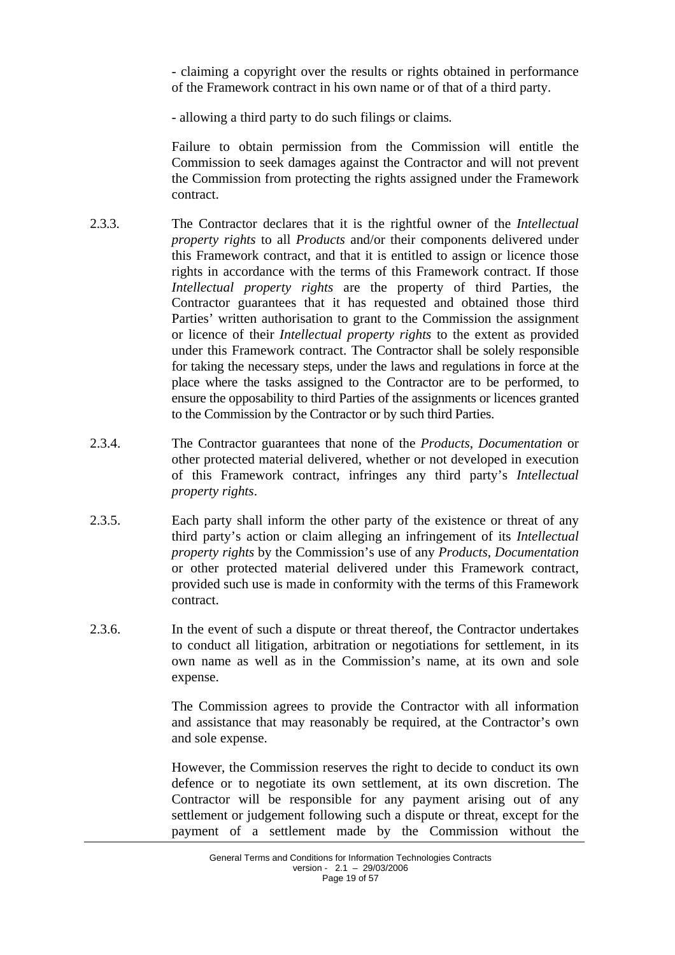- claiming a copyright over the results or rights obtained in performance of the Framework contract in his own name or of that of a third party.

- allowing a third party to do such filings or claims*.* 

Failure to obtain permission from the Commission will entitle the Commission to seek damages against the Contractor and will not prevent the Commission from protecting the rights assigned under the Framework contract.

- 2.3.3. The Contractor declares that it is the rightful owner of the *Intellectual property rights* to all *Products* and/or their components delivered under this Framework contract, and that it is entitled to assign or licence those rights in accordance with the terms of this Framework contract. If those *Intellectual property rights* are the property of third Parties, the Contractor guarantees that it has requested and obtained those third Parties' written authorisation to grant to the Commission the assignment or licence of their *Intellectual property rights* to the extent as provided under this Framework contract. The Contractor shall be solely responsible for taking the necessary steps, under the laws and regulations in force at the place where the tasks assigned to the Contractor are to be performed, to ensure the opposability to third Parties of the assignments or licences granted to the Commission by the Contractor or by such third Parties.
- 2.3.4. The Contractor guarantees that none of the *Products*, *Documentation* or other protected material delivered, whether or not developed in execution of this Framework contract, infringes any third party's *Intellectual property rights*.
- 2.3.5. Each party shall inform the other party of the existence or threat of any third party's action or claim alleging an infringement of its *Intellectual property rights* by the Commission's use of any *Products*, *Documentation* or other protected material delivered under this Framework contract, provided such use is made in conformity with the terms of this Framework contract.
- 2.3.6. In the event of such a dispute or threat thereof, the Contractor undertakes to conduct all litigation, arbitration or negotiations for settlement, in its own name as well as in the Commission's name, at its own and sole expense.

The Commission agrees to provide the Contractor with all information and assistance that may reasonably be required, at the Contractor's own and sole expense.

However, the Commission reserves the right to decide to conduct its own defence or to negotiate its own settlement, at its own discretion. The Contractor will be responsible for any payment arising out of any settlement or judgement following such a dispute or threat, except for the payment of a settlement made by the Commission without the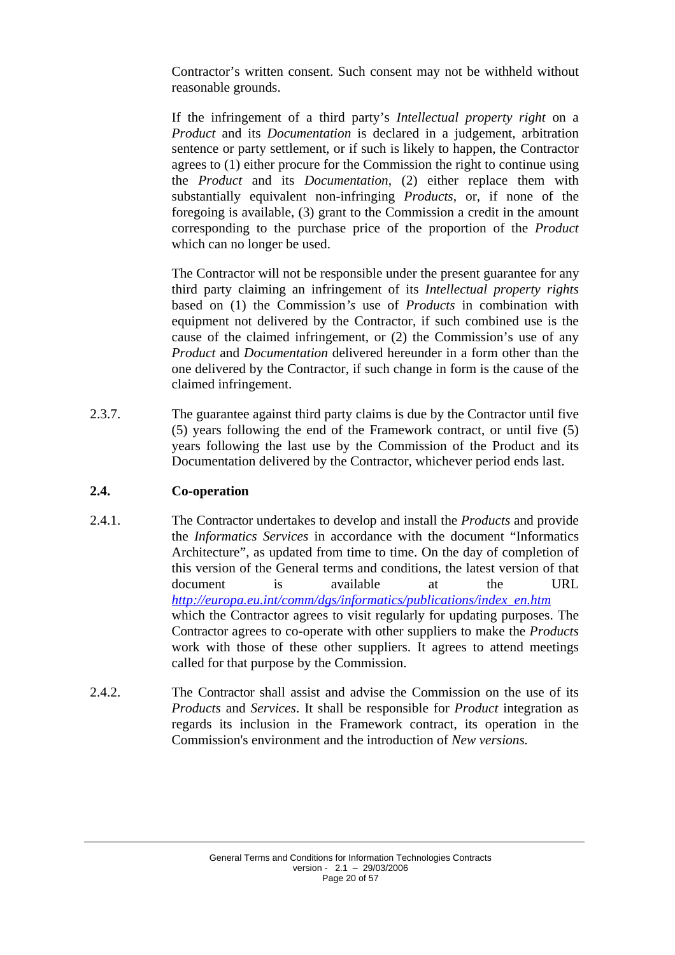Contractor's written consent. Such consent may not be withheld without reasonable grounds.

If the infringement of a third party's *Intellectual property right* on a *Product* and its *Documentation* is declared in a judgement, arbitration sentence or party settlement, or if such is likely to happen, the Contractor agrees to (1) either procure for the Commission the right to continue using the *Product* and its *Documentation*, (2) either replace them with substantially equivalent non-infringing *Products*, or, if none of the foregoing is available, (3) grant to the Commission a credit in the amount corresponding to the purchase price of the proportion of the *Product* which can no longer be used.

The Contractor will not be responsible under the present guarantee for any third party claiming an infringement of its *Intellectual property rights* based on (1) the Commission*'s* use of *Products* in combination with equipment not delivered by the Contractor, if such combined use is the cause of the claimed infringement, or (2) the Commission's use of any *Product* and *Documentation* delivered hereunder in a form other than the one delivered by the Contractor, if such change in form is the cause of the claimed infringement.

2.3.7. The guarantee against third party claims is due by the Contractor until five (5) years following the end of the Framework contract, or until five (5) years following the last use by the Commission of the Product and its Documentation delivered by the Contractor, whichever period ends last.

## <span id="page-19-0"></span>**2.4. Co-operation**

- 2.4.1. The Contractor undertakes to develop and install the *Products* and provide the *Informatics Services* in accordance with the document "Informatics Architecture", as updated from time to time. On the day of completion of this version of the General terms and conditions, the latest version of that document is available at the URL *[http://europa.eu.int/comm/dgs/informatics/publications/index\\_en.htm](http://europa.eu.int/comm/dgs/informatics/publications/index_en.htm)* which the Contractor agrees to visit regularly for updating purposes. The Contractor agrees to co-operate with other suppliers to make the *Products* work with those of these other suppliers. It agrees to attend meetings called for that purpose by the Commission.
- 2.4.2. The Contractor shall assist and advise the Commission on the use of its *Products* and *Services*. It shall be responsible for *Product* integration as regards its inclusion in the Framework contract, its operation in the Commission's environment and the introduction of *New versions.*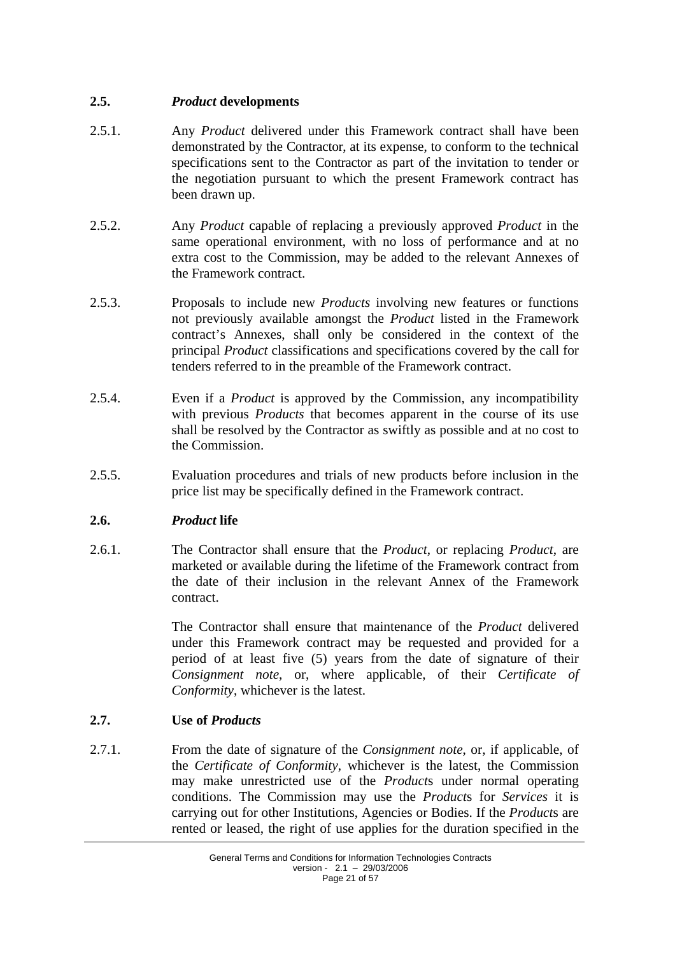## <span id="page-20-0"></span>**2.5.** *Product* **developments**

- 2.5.1. Any *Product* delivered under this Framework contract shall have been demonstrated by the Contractor, at its expense, to conform to the technical specifications sent to the Contractor as part of the invitation to tender or the negotiation pursuant to which the present Framework contract has been drawn up.
- 2.5.2. Any *Product* capable of replacing a previously approved *Product* in the same operational environment, with no loss of performance and at no extra cost to the Commission, may be added to the relevant Annexes of the Framework contract.
- 2.5.3. Proposals to include new *Products* involving new features or functions not previously available amongst the *Product* listed in the Framework contract's Annexes, shall only be considered in the context of the principal *Product* classifications and specifications covered by the call for tenders referred to in the preamble of the Framework contract.
- 2.5.4. Even if a *Product* is approved by the Commission, any incompatibility with previous *Products* that becomes apparent in the course of its use shall be resolved by the Contractor as swiftly as possible and at no cost to the Commission.
- 2.5.5. Evaluation procedures and trials of new products before inclusion in the price list may be specifically defined in the Framework contract.

### <span id="page-20-1"></span>**2.6.** *Product* **life**

2.6.1. The Contractor shall ensure that the *Product*, or replacing *Product*, are marketed or available during the lifetime of the Framework contract from the date of their inclusion in the relevant Annex of the Framework contract.

> The Contractor shall ensure that maintenance of the *Product* delivered under this Framework contract may be requested and provided for a period of at least five (5) years from the date of signature of their *Consignment note*, or, where applicable, of their *Certificate of Conformity*, whichever is the latest.

### <span id="page-20-2"></span>**2.7. Use of** *Products*

2.7.1. From the date of signature of the *Consignment note*, or, if applicable, of the *Certificate of Conformity*, whichever is the latest, the Commission may make unrestricted use of the *Product*s under normal operating conditions. The Commission may use the *Product*s for *Services* it is carrying out for other Institutions, Agencies or Bodies. If the *Product*s are rented or leased, the right of use applies for the duration specified in the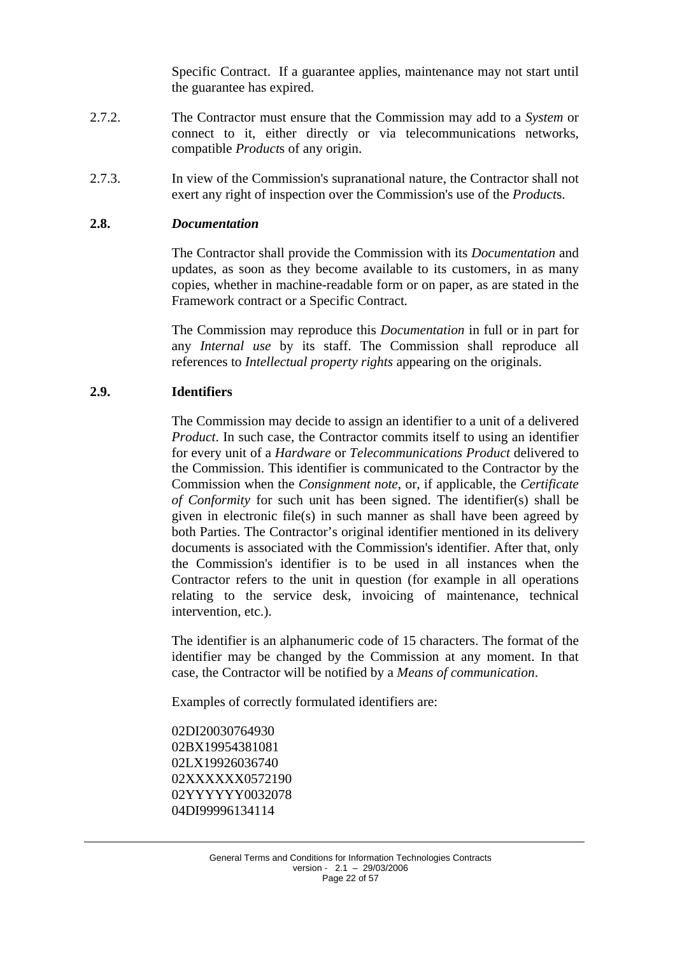Specific Contract. If a guarantee applies, maintenance may not start until the guarantee has expired.

- 2.7.2. The Contractor must ensure that the Commission may add to a *System* or connect to it, either directly or via telecommunications networks, compatible *Product*s of any origin.
- 2.7.3. In view of the Commission's supranational nature, the Contractor shall not exert any right of inspection over the Commission's use of the *Product*s.

#### <span id="page-21-0"></span>**2.8.** *Documentation*

The Contractor shall provide the Commission with its *Documentation* and updates, as soon as they become available to its customers, in as many copies, whether in machine-readable form or on paper, as are stated in the Framework contract or a Specific Contract*.*

The Commission may reproduce this *Documentation* in full or in part for any *Internal use* by its staff. The Commission shall reproduce all references to *Intellectual property rights* appearing on the originals.

#### <span id="page-21-1"></span>**2.9. Identifiers**

The Commission may decide to assign an identifier to a unit of a delivered *Product*. In such case, the Contractor commits itself to using an identifier for every unit of a *Hardware* or *Telecommunications Product* delivered to the Commission. This identifier is communicated to the Contractor by the Commission when the *Consignment note*, or, if applicable, the *Certificate of Conformity* for such unit has been signed. The identifier(s) shall be given in electronic file(s) in such manner as shall have been agreed by both Parties. The Contractor's original identifier mentioned in its delivery documents is associated with the Commission's identifier. After that, only the Commission's identifier is to be used in all instances when the Contractor refers to the unit in question (for example in all operations relating to the service desk, invoicing of maintenance, technical intervention, etc.).

The identifier is an alphanumeric code of 15 characters. The format of the identifier may be changed by the Commission at any moment. In that case, the Contractor will be notified by a *Means of communication*.

Examples of correctly formulated identifiers are:

02DI20030764930 02BX19954381081 02LX19926036740 02XXXXXX0572190 02YYYYYY0032078 04DI99996134114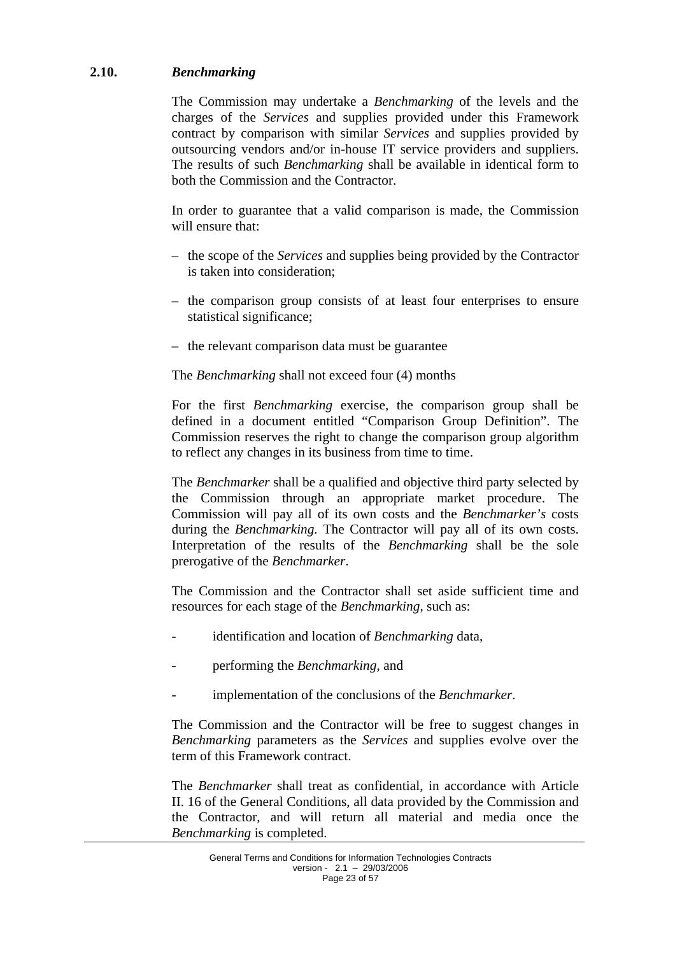### <span id="page-22-0"></span>**2.10.** *Benchmarking*

The Commission may undertake a *Benchmarking* of the levels and the charges of the *Services* and supplies provided under this Framework contract by comparison with similar *Services* and supplies provided by outsourcing vendors and/or in-house IT service providers and suppliers. The results of such *Benchmarking* shall be available in identical form to both the Commission and the Contractor.

In order to guarantee that a valid comparison is made, the Commission will ensure that:

- the scope of the *Services* and supplies being provided by the Contractor is taken into consideration;
- the comparison group consists of at least four enterprises to ensure statistical significance;
- the relevant comparison data must be guarantee

#### The *Benchmarking* shall not exceed four (4) months

For the first *Benchmarking* exercise, the comparison group shall be defined in a document entitled "Comparison Group Definition". The Commission reserves the right to change the comparison group algorithm to reflect any changes in its business from time to time.

The *Benchmarker* shall be a qualified and objective third party selected by the Commission through an appropriate market procedure. The Commission will pay all of its own costs and the *Benchmarker's* costs during the *Benchmarking.* The Contractor will pay all of its own costs. Interpretation of the results of the *Benchmarking* shall be the sole prerogative of the *Benchmarker*.

The Commission and the Contractor shall set aside sufficient time and resources for each stage of the *Benchmarking,* such as:

- identification and location of *Benchmarking* data,
- performing the *Benchmarking,* and
- implementation of the conclusions of the *Benchmarker*.

The Commission and the Contractor will be free to suggest changes in *Benchmarking* parameters as the *Services* and supplies evolve over the term of this Framework contract.

The *Benchmarker* shall treat as confidential, in accordance with Article II. 16 of the General Conditions, all data provided by the Commission and the Contractor, and will return all material and media once the *Benchmarking* is completed.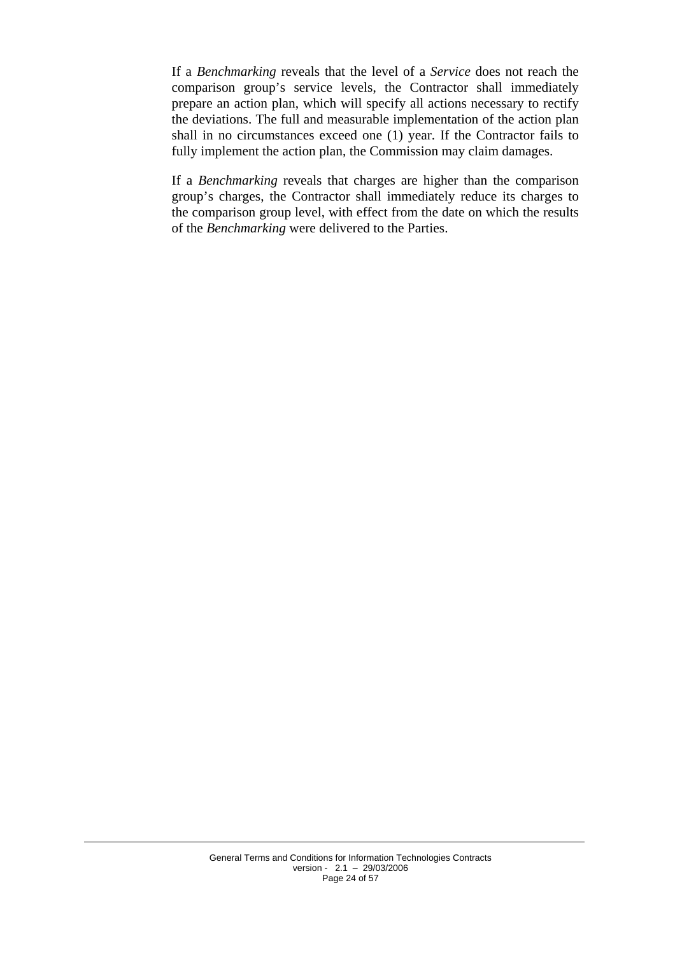If a *Benchmarking* reveals that the level of a *Service* does not reach the comparison group's service levels, the Contractor shall immediately prepare an action plan, which will specify all actions necessary to rectify the deviations. The full and measurable implementation of the action plan shall in no circumstances exceed one (1) year. If the Contractor fails to fully implement the action plan, the Commission may claim damages.

If a *Benchmarking* reveals that charges are higher than the comparison group's charges, the Contractor shall immediately reduce its charges to the comparison group level, with effect from the date on which the results of the *Benchmarking* were delivered to the Parties.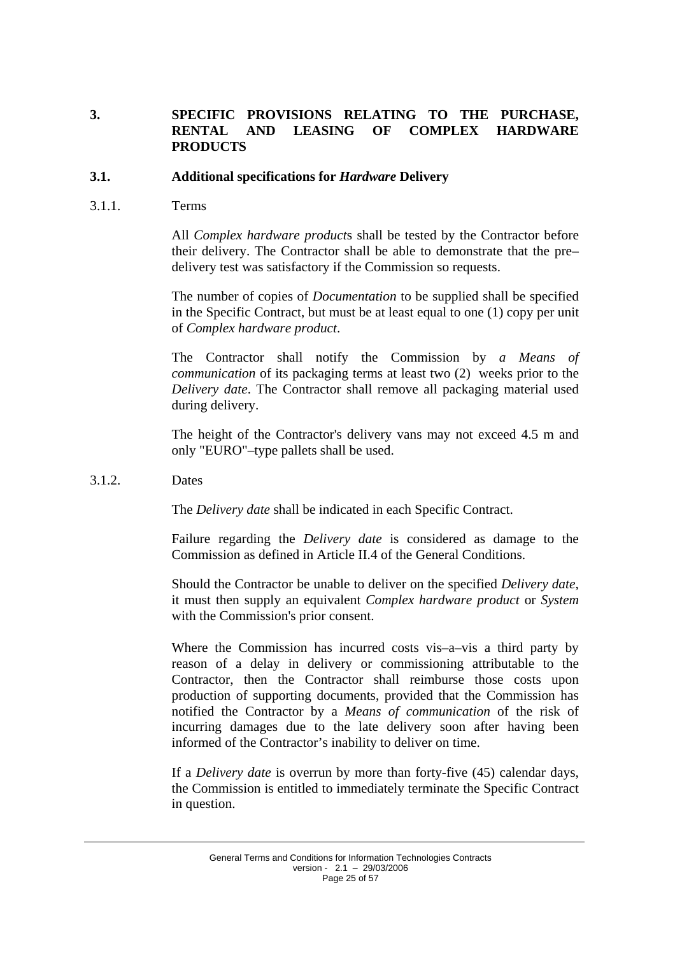### <span id="page-24-0"></span>**3. SPECIFIC PROVISIONS RELATING TO THE PURCHASE, RENTAL AND LEASING OF COMPLEX HARDWARE PRODUCTS**

#### <span id="page-24-1"></span>**3.1. Additional specifications for** *Hardware* **Delivery**

3.1.1. Terms

All *Complex hardware product*s shall be tested by the Contractor before their delivery. The Contractor shall be able to demonstrate that the pre– delivery test was satisfactory if the Commission so requests.

The number of copies of *Documentation* to be supplied shall be specified in the Specific Contract, but must be at least equal to one (1) copy per unit of *Complex hardware product*.

The Contractor shall notify the Commission by *a Means of communication* of its packaging terms at least two (2) weeks prior to the *Delivery date*. The Contractor shall remove all packaging material used during delivery.

The height of the Contractor's delivery vans may not exceed 4.5 m and only "EURO"–type pallets shall be used.

#### 3.1.2. Dates

The *Delivery date* shall be indicated in each Specific Contract.

Failure regarding the *Delivery date* is considered as damage to the Commission as defined in Article II.4 of the General Conditions.

Should the Contractor be unable to deliver on the specified *Delivery date*, it must then supply an equivalent *Complex hardware product* or *System* with the Commission's prior consent.

Where the Commission has incurred costs vis–a–vis a third party by reason of a delay in delivery or commissioning attributable to the Contractor, then the Contractor shall reimburse those costs upon production of supporting documents, provided that the Commission has notified the Contractor by a *Means of communication* of the risk of incurring damages due to the late delivery soon after having been informed of the Contractor's inability to deliver on time.

If a *Delivery date* is overrun by more than forty-five (45) calendar days, the Commission is entitled to immediately terminate the Specific Contract in question.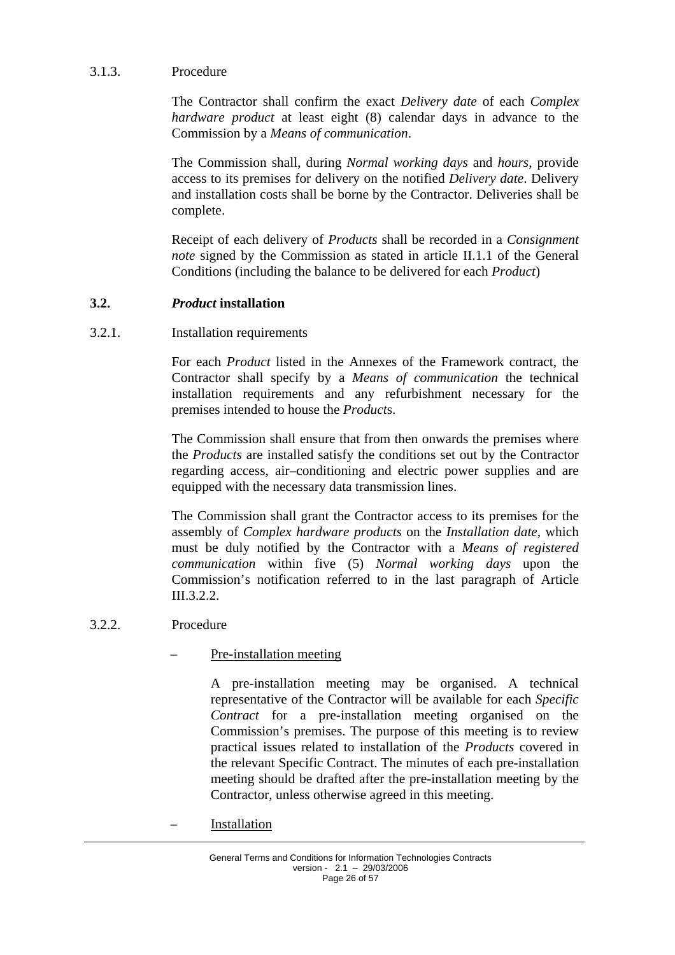### 3.1.3. Procedure

The Contractor shall confirm the exact *Delivery date* of each *Complex hardware product* at least eight (8) calendar days in advance to the Commission by a *Means of communication*.

The Commission shall, during *Normal working days* and *hours*, provide access to its premises for delivery on the notified *Delivery date*. Delivery and installation costs shall be borne by the Contractor. Deliveries shall be complete.

Receipt of each delivery of *Products* shall be recorded in a *Consignment note* signed by the Commission as stated in article II.1.1 of the General Conditions (including the balance to be delivered for each *Product*)

## <span id="page-25-0"></span>**3.2.** *Product* **installation**

### 3.2.1. Installation requirements

For each *Product* listed in the Annexes of the Framework contract, the Contractor shall specify by a *Means of communication* the technical installation requirements and any refurbishment necessary for the premises intended to house the *Product*s.

The Commission shall ensure that from then onwards the premises where the *Products* are installed satisfy the conditions set out by the Contractor regarding access, air–conditioning and electric power supplies and are equipped with the necessary data transmission lines.

The Commission shall grant the Contractor access to its premises for the assembly of *Complex hardware products* on the *Installation date*, which must be duly notified by the Contractor with a *Means of registered communication* within five (5) *Normal working days* upon the Commission's notification referred to in the last paragraph of Article III.3.2.2.

### 3.2.2. Procedure

– Pre-installation meeting

A pre-installation meeting may be organised. A technical representative of the Contractor will be available for each *Specific Contract* for a pre-installation meeting organised on the Commission's premises. The purpose of this meeting is to review practical issues related to installation of the *Products* covered in the relevant Specific Contract. The minutes of each pre-installation meeting should be drafted after the pre-installation meeting by the Contractor, unless otherwise agreed in this meeting.

**Installation**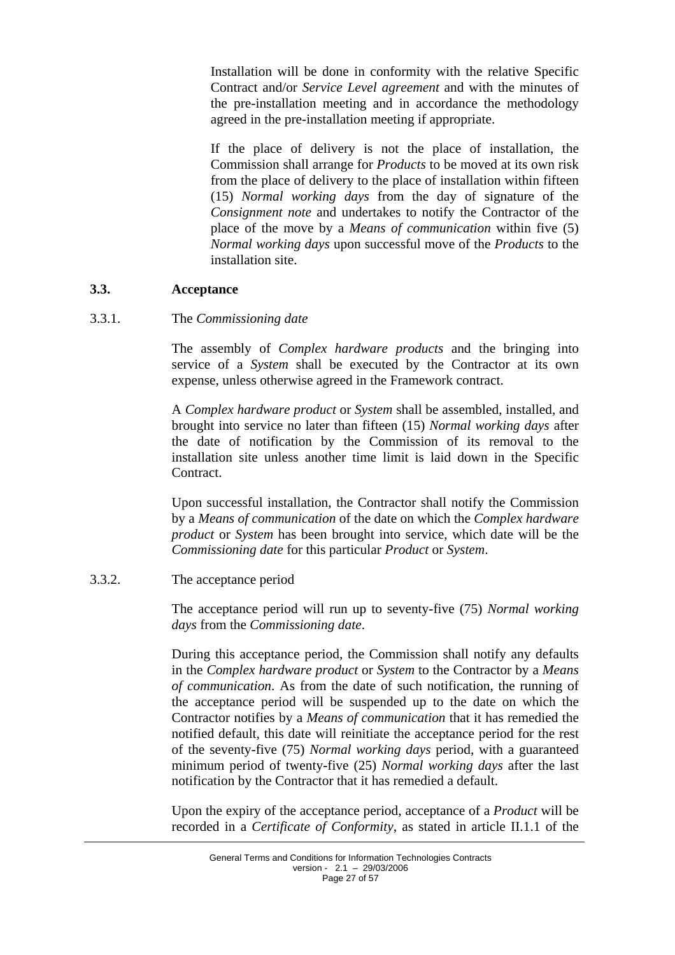Installation will be done in conformity with the relative Specific Contract and/or *Service Level agreement* and with the minutes of the pre-installation meeting and in accordance the methodology agreed in the pre-installation meeting if appropriate.

If the place of delivery is not the place of installation, the Commission shall arrange for *Products* to be moved at its own risk from the place of delivery to the place of installation within fifteen (15) *Normal working days* from the day of signature of the *Consignment note* and undertakes to notify the Contractor of the place of the move by a *Means of communication* within five (5) *Normal working days* upon successful move of the *Products* to the installation site.

#### <span id="page-26-0"></span>**3.3. Acceptance**

#### 3.3.1. The *Commissioning date*

The assembly of *Complex hardware products* and the bringing into service of a *System* shall be executed by the Contractor at its own expense, unless otherwise agreed in the Framework contract.

A *Complex hardware product* or *System* shall be assembled, installed, and brought into service no later than fifteen (15) *Normal working days* after the date of notification by the Commission of its removal to the installation site unless another time limit is laid down in the Specific Contract.

Upon successful installation, the Contractor shall notify the Commission by a *Means of communication* of the date on which the *Complex hardware product* or *System* has been brought into service, which date will be the *Commissioning date* for this particular *Product* or *System*.

### 3.3.2. The acceptance period

The acceptance period will run up to seventy-five (75) *Normal working days* from the *Commissioning date*.

During this acceptance period, the Commission shall notify any defaults in the *Complex hardware product* or *System* to the Contractor by a *Means of communication*. As from the date of such notification, the running of the acceptance period will be suspended up to the date on which the Contractor notifies by a *Means of communication* that it has remedied the notified default, this date will reinitiate the acceptance period for the rest of the seventy-five (75) *Normal working days* period, with a guaranteed minimum period of twenty-five (25) *Normal working days* after the last notification by the Contractor that it has remedied a default.

Upon the expiry of the acceptance period, acceptance of a *Product* will be recorded in a *Certificate of Conformity*, as stated in article II.1.1 of the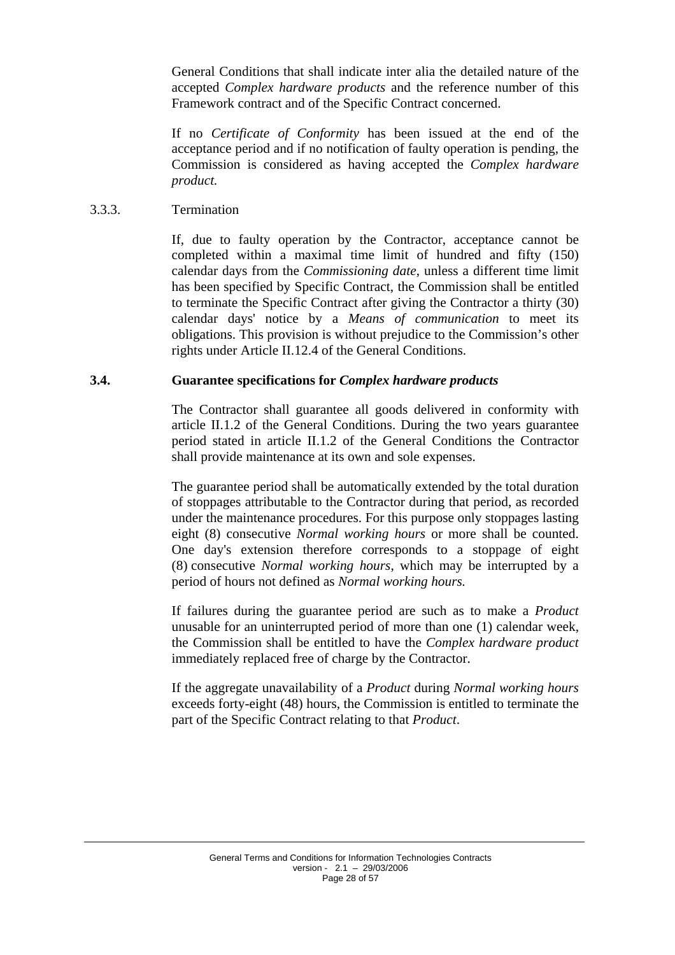General Conditions that shall indicate inter alia the detailed nature of the accepted *Complex hardware products* and the reference number of this Framework contract and of the Specific Contract concerned.

If no *Certificate of Conformity* has been issued at the end of the acceptance period and if no notification of faulty operation is pending, the Commission is considered as having accepted the *Complex hardware product.* 

#### 3.3.3. Termination

If, due to faulty operation by the Contractor, acceptance cannot be completed within a maximal time limit of hundred and fifty (150) calendar days from the *Commissioning date*, unless a different time limit has been specified by Specific Contract, the Commission shall be entitled to terminate the Specific Contract after giving the Contractor a thirty (30) calendar days' notice by a *Means of communication* to meet its obligations. This provision is without prejudice to the Commission's other rights under Article II.12.4 of the General Conditions.

#### <span id="page-27-0"></span>**3.4. Guarantee specifications for** *Complex hardware products*

The Contractor shall guarantee all goods delivered in conformity with article II.1.2 of the General Conditions. During the two years guarantee period stated in article II.1.2 of the General Conditions the Contractor shall provide maintenance at its own and sole expenses.

The guarantee period shall be automatically extended by the total duration of stoppages attributable to the Contractor during that period, as recorded under the maintenance procedures. For this purpose only stoppages lasting eight (8) consecutive *Normal working hours* or more shall be counted. One day's extension therefore corresponds to a stoppage of eight (8) consecutive *Normal working hours*, which may be interrupted by a period of hours not defined as *Normal working hours.*

If failures during the guarantee period are such as to make a *Product* unusable for an uninterrupted period of more than one (1) calendar week, the Commission shall be entitled to have the *Complex hardware product* immediately replaced free of charge by the Contractor.

If the aggregate unavailability of a *Product* during *Normal working hours* exceeds forty-eight (48) hours, the Commission is entitled to terminate the part of the Specific Contract relating to that *Product*.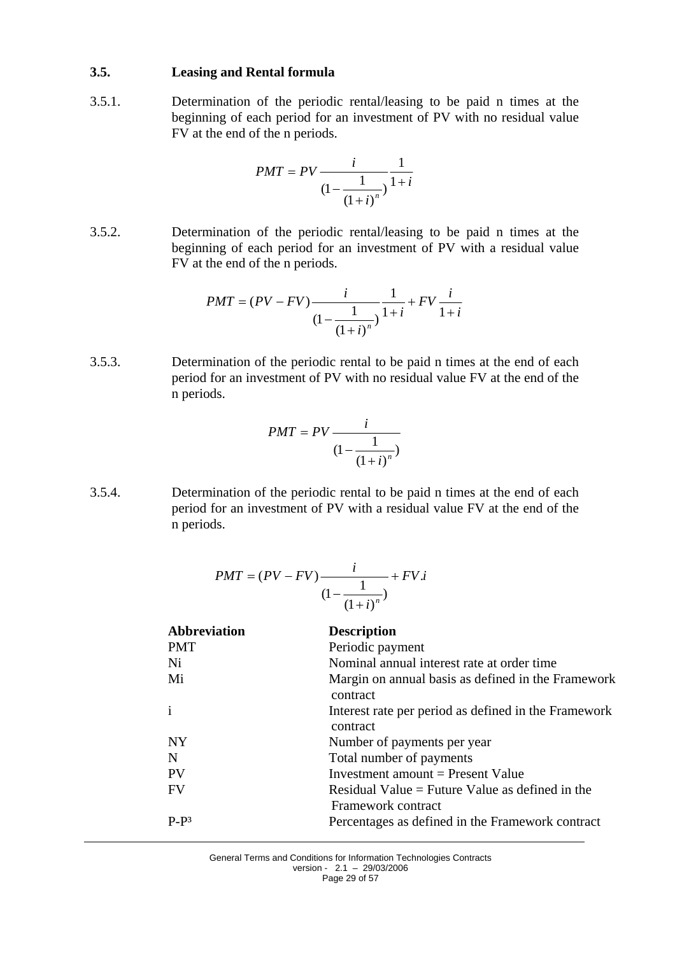#### <span id="page-28-0"></span>**3.5. Leasing and Rental formula**

3.5.1. Determination of the periodic rental/leasing to be paid n times at the beginning of each period for an investment of PV with no residual value FV at the end of the n periods.

$$
PMT = PV \frac{i}{(1 - \frac{1}{(1 + i)^n})} \frac{1}{1 + i}
$$

3.5.2. Determination of the periodic rental/leasing to be paid n times at the beginning of each period for an investment of PV with a residual value FV at the end of the n periods.

$$
PMT = (PV - FV) \frac{i}{(1 - \frac{1}{(1 + i)^n})} \frac{1}{1 + i} + FV \frac{i}{1 + i}
$$

3.5.3. Determination of the periodic rental to be paid n times at the end of each period for an investment of PV with no residual value FV at the end of the n periods.

$$
PMT = PV \frac{i}{\left(1 - \frac{1}{\left(1 + i\right)^n}\right)}
$$

3.5.4. Determination of the periodic rental to be paid n times at the end of each period for an investment of PV with a residual value FV at the end of the n periods.

$$
PMT = (PV - FV) \frac{i}{\left(1 - \frac{1}{\left(1 + i\right)^n}\right)} + FV.i
$$

| <b>Abbreviation</b> | <b>Description</b>                                                    |
|---------------------|-----------------------------------------------------------------------|
| <b>PMT</b>          | Periodic payment                                                      |
| Ni                  | Nominal annual interest rate at order time                            |
| Mi                  | Margin on annual basis as defined in the Framework<br>contract        |
| $\mathbf{i}$        | Interest rate per period as defined in the Framework<br>contract      |
| <b>NY</b>           | Number of payments per year                                           |
| N                   | Total number of payments                                              |
| PV                  | Investment amount $=$ Present Value                                   |
| <b>FV</b>           | Residual Value = Future Value as defined in the<br>Framework contract |
| $P-P^3$             | Percentages as defined in the Framework contract                      |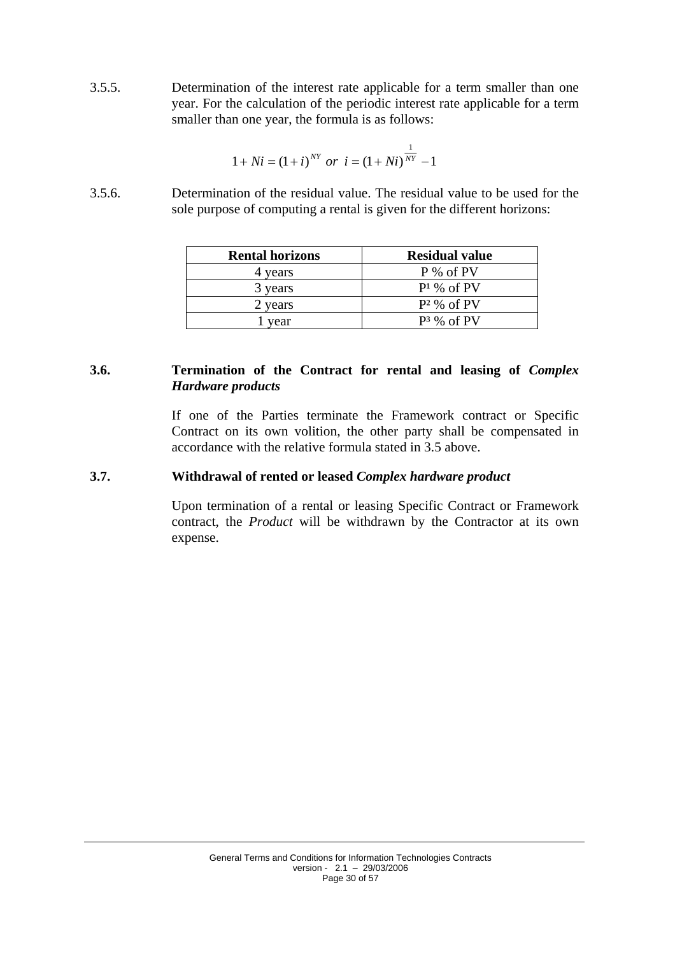3.5.5. Determination of the interest rate applicable for a term smaller than one year. For the calculation of the periodic interest rate applicable for a term smaller than one year, the formula is as follows:

$$
1 + Ni = (1 + i)^{NT} \text{ or } i = (1 + Ni)^{\frac{1}{NY}} - 1
$$

3.5.6. Determination of the residual value. The residual value to be used for the sole purpose of computing a rental is given for the different horizons:

| <b>Rental horizons</b> | <b>Residual value</b> |
|------------------------|-----------------------|
| 4 years                | P % of PV             |
| 3 years                | $P1$ % of PV          |
| 2 years                | $P^2$ % of PV         |
| vear                   | $P^3$ % of PV         |

### <span id="page-29-0"></span>**3.6. Termination of the Contract for rental and leasing of** *Complex Hardware products*

If one of the Parties terminate the Framework contract or Specific Contract on its own volition, the other party shall be compensated in accordance with the relative formula stated in 3.5 above.

### <span id="page-29-1"></span>**3.7. Withdrawal of rented or leased** *Complex hardware product*

Upon termination of a rental or leasing Specific Contract or Framework contract, the *Product* will be withdrawn by the Contractor at its own expense.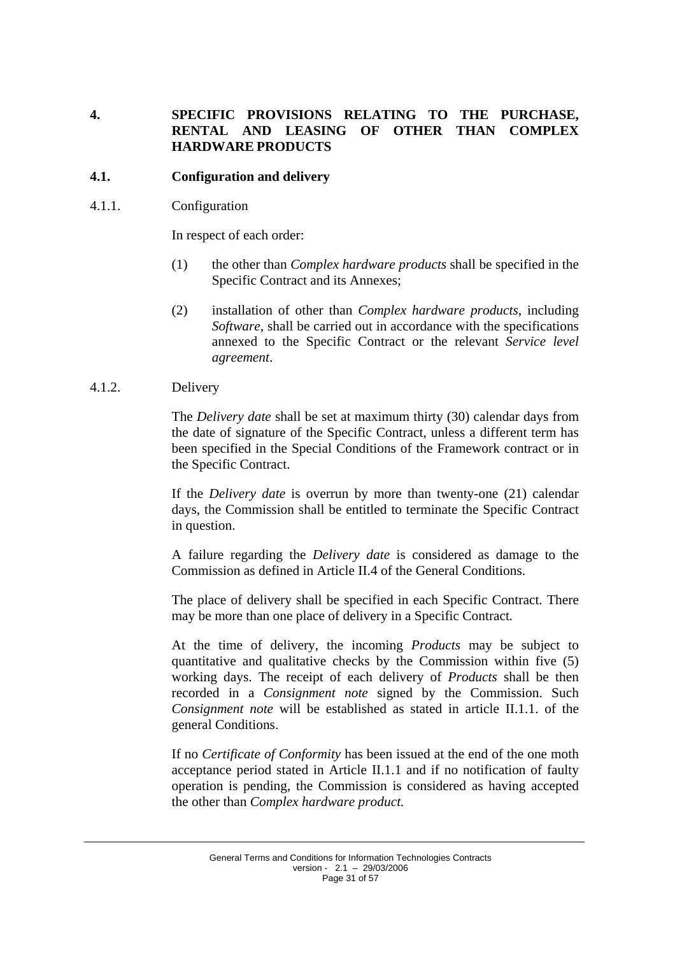## <span id="page-30-0"></span>**4. SPECIFIC PROVISIONS RELATING TO THE PURCHASE, RENTAL AND LEASING OF OTHER THAN COMPLEX HARDWARE PRODUCTS**

#### <span id="page-30-1"></span>**4.1. Configuration and delivery**

4.1.1. Configuration

In respect of each order:

- (1) the other than *Complex hardware products* shall be specified in the Specific Contract and its Annexes;
- (2) installation of other than *Complex hardware products*, including *Software*, shall be carried out in accordance with the specifications annexed to the Specific Contract or the relevant *Service level agreement*.

#### 4.1.2. Delivery

The *Delivery date* shall be set at maximum thirty (30) calendar days from the date of signature of the Specific Contract, unless a different term has been specified in the Special Conditions of the Framework contract or in the Specific Contract.

If the *Delivery date* is overrun by more than twenty-one (21) calendar days, the Commission shall be entitled to terminate the Specific Contract in question.

A failure regarding the *Delivery date* is considered as damage to the Commission as defined in Article II.4 of the General Conditions.

The place of delivery shall be specified in each Specific Contract. There may be more than one place of delivery in a Specific Contract*.*

At the time of delivery, the incoming *Products* may be subject to quantitative and qualitative checks by the Commission within five (5) working days. The receipt of each delivery of *Products* shall be then recorded in a *Consignment note* signed by the Commission. Such *Consignment note* will be established as stated in article II.1.1. of the general Conditions.

If no *Certificate of Conformity* has been issued at the end of the one moth acceptance period stated in Article II.1.1 and if no notification of faulty operation is pending, the Commission is considered as having accepted the other than *Complex hardware product.*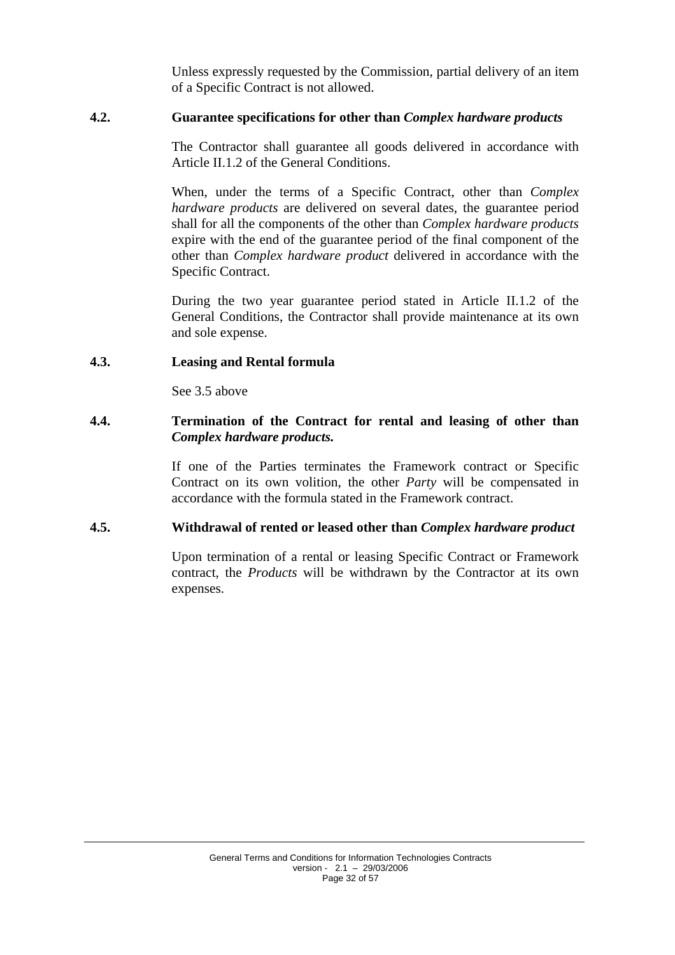Unless expressly requested by the Commission, partial delivery of an item of a Specific Contract is not allowed.

#### <span id="page-31-0"></span>**4.2. Guarantee specifications for other than** *Complex hardware products*

The Contractor shall guarantee all goods delivered in accordance with Article II.1.2 of the General Conditions.

When, under the terms of a Specific Contract, other than *Complex hardware products* are delivered on several dates, the guarantee period shall for all the components of the other than *Complex hardware products* expire with the end of the guarantee period of the final component of the other than *Complex hardware product* delivered in accordance with the Specific Contract.

During the two year guarantee period stated in Article II.1.2 of the General Conditions, the Contractor shall provide maintenance at its own and sole expense.

#### <span id="page-31-1"></span>**4.3. Leasing and Rental formula**

See 3.5 above

#### <span id="page-31-2"></span>**4.4. Termination of the Contract for rental and leasing of other than**  *Complex hardware products.*

If one of the Parties terminates the Framework contract or Specific Contract on its own volition, the other *Party* will be compensated in accordance with the formula stated in the Framework contract.

### <span id="page-31-3"></span>**4.5. Withdrawal of rented or leased other than** *Complex hardware product*

Upon termination of a rental or leasing Specific Contract or Framework contract, the *Products* will be withdrawn by the Contractor at its own expenses.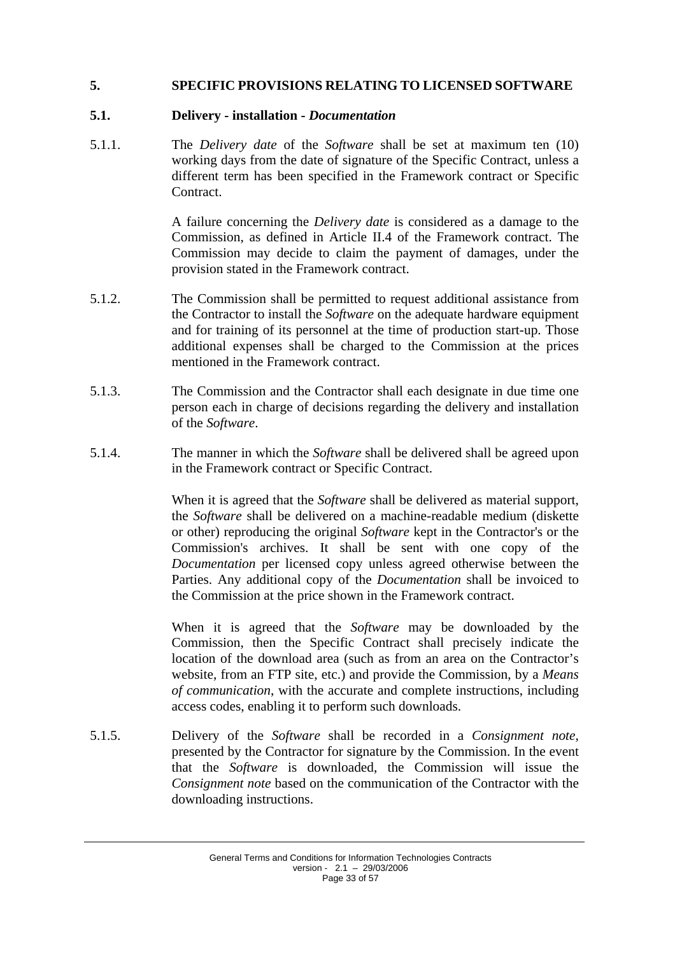## <span id="page-32-1"></span><span id="page-32-0"></span>**5. SPECIFIC PROVISIONS RELATING TO LICENSED SOFTWARE**

#### **5.1. Delivery - installation -** *Documentation*

5.1.1. The *Delivery date* of the *Software* shall be set at maximum ten (10) working days from the date of signature of the Specific Contract, unless a different term has been specified in the Framework contract or Specific Contract.

> A failure concerning the *Delivery date* is considered as a damage to the Commission, as defined in Article II.4 of the Framework contract. The Commission may decide to claim the payment of damages, under the provision stated in the Framework contract.

- 5.1.2. The Commission shall be permitted to request additional assistance from the Contractor to install the *Software* on the adequate hardware equipment and for training of its personnel at the time of production start-up. Those additional expenses shall be charged to the Commission at the prices mentioned in the Framework contract.
- 5.1.3. The Commission and the Contractor shall each designate in due time one person each in charge of decisions regarding the delivery and installation of the *Software*.
- 5.1.4. The manner in which the *Software* shall be delivered shall be agreed upon in the Framework contract or Specific Contract.

When it is agreed that the *Software* shall be delivered as material support, the *Software* shall be delivered on a machine-readable medium (diskette or other) reproducing the original *Software* kept in the Contractor's or the Commission's archives. It shall be sent with one copy of the *Documentation* per licensed copy unless agreed otherwise between the Parties. Any additional copy of the *Documentation* shall be invoiced to the Commission at the price shown in the Framework contract.

When it is agreed that the *Software* may be downloaded by the Commission, then the Specific Contract shall precisely indicate the location of the download area (such as from an area on the Contractor's website, from an FTP site, etc.) and provide the Commission, by a *Means of communication*, with the accurate and complete instructions, including access codes, enabling it to perform such downloads.

5.1.5. Delivery of the *Software* shall be recorded in a *Consignment note*, presented by the Contractor for signature by the Commission. In the event that the *Software* is downloaded, the Commission will issue the *Consignment note* based on the communication of the Contractor with the downloading instructions.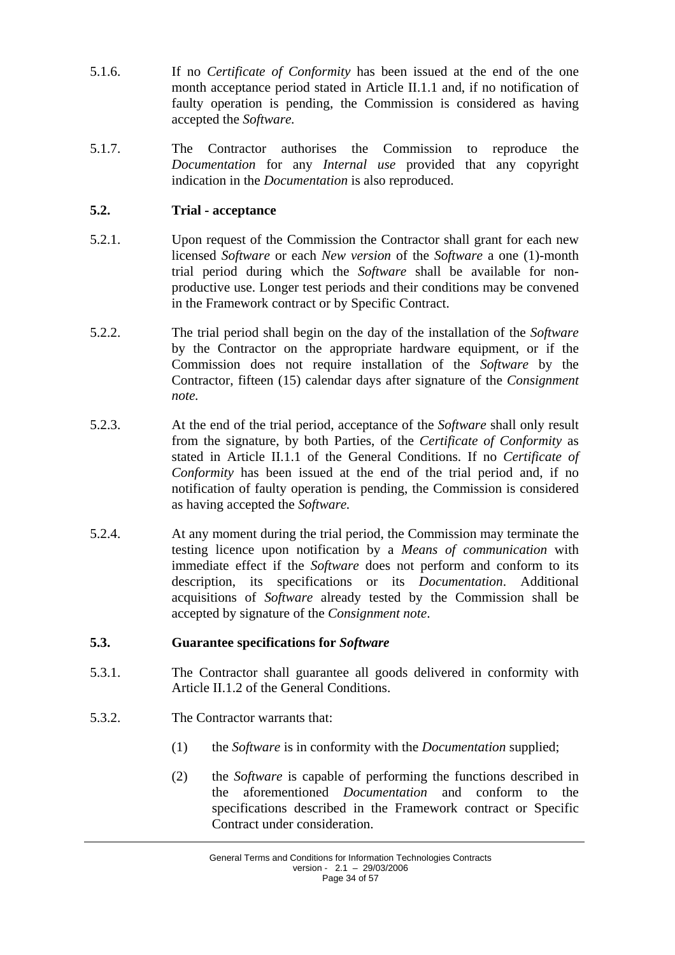- 5.1.6. If no *Certificate of Conformity* has been issued at the end of the one month acceptance period stated in Article II.1.1 and, if no notification of faulty operation is pending, the Commission is considered as having accepted the *Software.*
- 5.1.7. The Contractor authorises the Commission to reproduce the *Documentation* for any *Internal use* provided that any copyright indication in the *Documentation* is also reproduced.

## <span id="page-33-0"></span>**5.2. Trial - acceptance**

- 5.2.1. Upon request of the Commission the Contractor shall grant for each new licensed *Software* or each *New version* of the *Software* a one (1)-month trial period during which the *Software* shall be available for nonproductive use. Longer test periods and their conditions may be convened in the Framework contract or by Specific Contract.
- 5.2.2. The trial period shall begin on the day of the installation of the *Software* by the Contractor on the appropriate hardware equipment, or if the Commission does not require installation of the *Software* by the Contractor, fifteen (15) calendar days after signature of the *Consignment note.*
- 5.2.3. At the end of the trial period, acceptance of the *Software* shall only result from the signature, by both Parties, of the *Certificate of Conformity* as stated in Article II.1.1 of the General Conditions. If no *Certificate of Conformity* has been issued at the end of the trial period and, if no notification of faulty operation is pending, the Commission is considered as having accepted the *Software.*
- 5.2.4. At any moment during the trial period, the Commission may terminate the testing licence upon notification by a *Means of communication* with immediate effect if the *Software* does not perform and conform to its description, its specifications or its *Documentation*. Additional acquisitions of *Software* already tested by the Commission shall be accepted by signature of the *Consignment note*.

### <span id="page-33-1"></span>**5.3. Guarantee specifications for** *Software*

- 5.3.1. The Contractor shall guarantee all goods delivered in conformity with Article II.1.2 of the General Conditions.
- 5.3.2. The Contractor warrants that:
	- (1) the *Software* is in conformity with the *Documentation* supplied;
	- (2) the *Software* is capable of performing the functions described in the aforementioned *Documentation* and conform to the specifications described in the Framework contract or Specific Contract under consideration.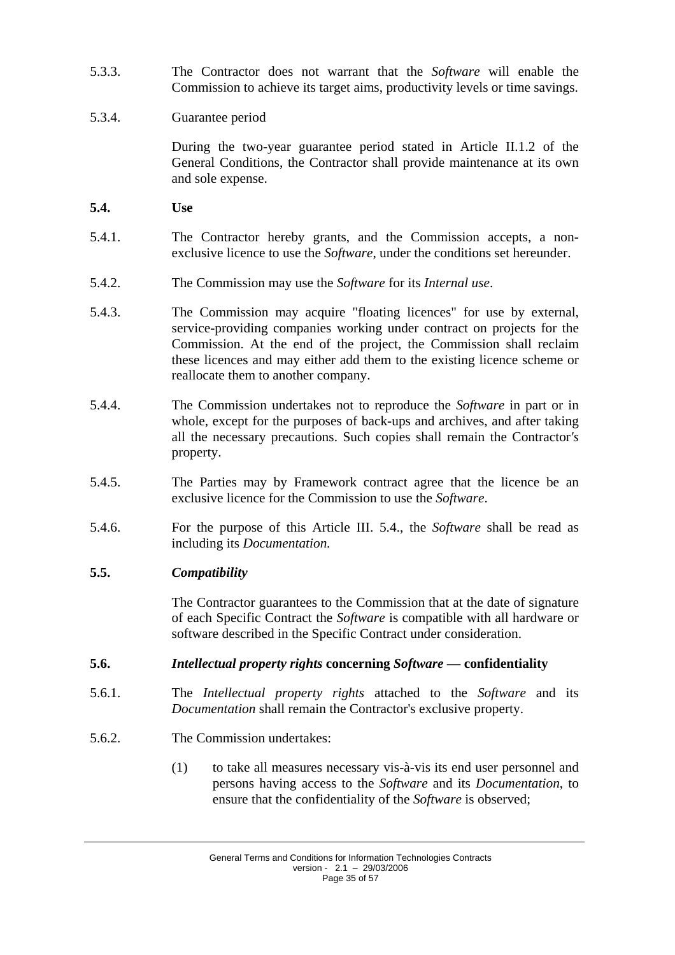- 5.3.3. The Contractor does not warrant that the *Software* will enable the Commission to achieve its target aims, productivity levels or time savings.
- 5.3.4. Guarantee period

During the two-year guarantee period stated in Article II.1.2 of the General Conditions, the Contractor shall provide maintenance at its own and sole expense.

- <span id="page-34-0"></span>**5.4. Use**
- 5.4.1. The Contractor hereby grants, and the Commission accepts, a nonexclusive licence to use the *Software*, under the conditions set hereunder.
- 5.4.2. The Commission may use the *Software* for its *Internal use*.
- 5.4.3. The Commission may acquire "floating licences" for use by external, service-providing companies working under contract on projects for the Commission. At the end of the project, the Commission shall reclaim these licences and may either add them to the existing licence scheme or reallocate them to another company.
- 5.4.4. The Commission undertakes not to reproduce the *Software* in part or in whole, except for the purposes of back-ups and archives, and after taking all the necessary precautions. Such copies shall remain the Contractor*'s* property.
- 5.4.5. The Parties may by Framework contract agree that the licence be an exclusive licence for the Commission to use the *Software*.
- 5.4.6. For the purpose of this Article III. 5.4., the *Software* shall be read as including its *Documentation.*

### <span id="page-34-1"></span>**5.5.** *Compatibility*

The Contractor guarantees to the Commission that at the date of signature of each Specific Contract the *Software* is compatible with all hardware or software described in the Specific Contract under consideration.

- <span id="page-34-2"></span>**5.6.** *Intellectual property rights* **concerning** *Software —* **confidentiality**
- 5.6.1. The *Intellectual property rights* attached to the *Software* and its *Documentation* shall remain the Contractor's exclusive property.
- 5.6.2. The Commission undertakes:
	- (1) to take all measures necessary vis-à-vis its end user personnel and persons having access to the *Software* and its *Documentation*, to ensure that the confidentiality of the *Software* is observed;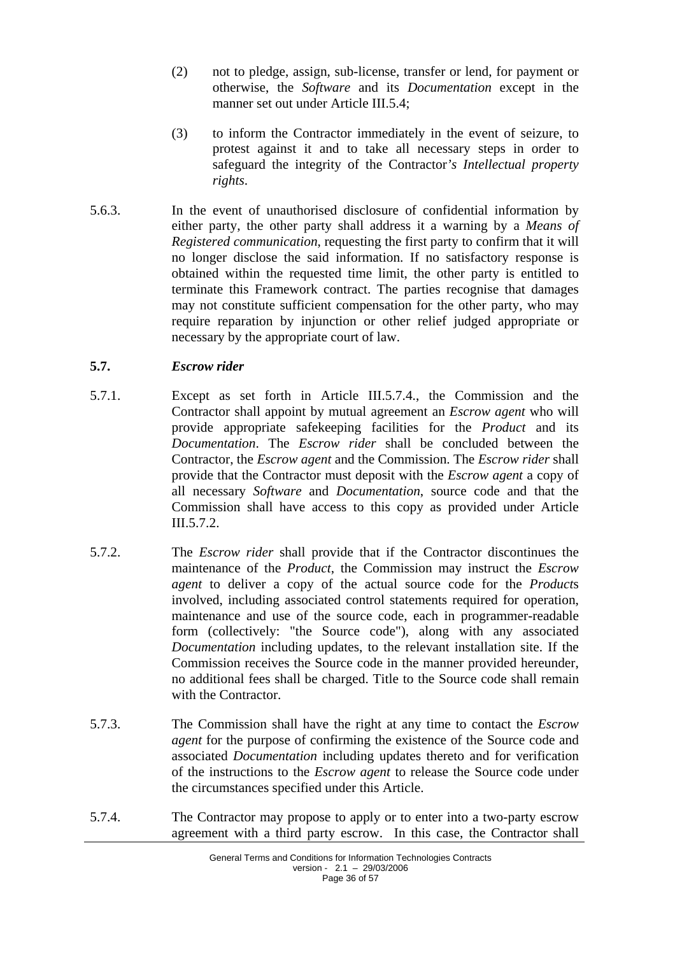- (2) not to pledge, assign, sub-license, transfer or lend, for payment or otherwise, the *Software* and its *Documentation* except in the manner set out under Article III.5.4;
- (3) to inform the Contractor immediately in the event of seizure, to protest against it and to take all necessary steps in order to safeguard the integrity of the Contractor*'s Intellectual property rights*.
- 5.6.3. In the event of unauthorised disclosure of confidential information by either party, the other party shall address it a warning by a *Means of Registered communication*, requesting the first party to confirm that it will no longer disclose the said information. If no satisfactory response is obtained within the requested time limit, the other party is entitled to terminate this Framework contract. The parties recognise that damages may not constitute sufficient compensation for the other party, who may require reparation by injunction or other relief judged appropriate or necessary by the appropriate court of law.

### <span id="page-35-0"></span>**5.7.** *Escrow rider*

- 5.7.1. Except as set forth in Article III.5.7.4., the Commission and the Contractor shall appoint by mutual agreement an *Escrow agent* who will provide appropriate safekeeping facilities for the *Product* and its *Documentation*. The *Escrow rider* shall be concluded between the Contractor, the *Escrow agent* and the Commission. The *Escrow rider* shall provide that the Contractor must deposit with the *Escrow agent* a copy of all necessary *Software* and *Documentation*, source code and that the Commission shall have access to this copy as provided under Article III.5.7.2.
- 5.7.2. The *Escrow rider* shall provide that if the Contractor discontinues the maintenance of the *Product*, the Commission may instruct the *Escrow agent* to deliver a copy of the actual source code for the *Product*s involved, including associated control statements required for operation, maintenance and use of the source code, each in programmer-readable form (collectively: "the Source code"), along with any associated *Documentation* including updates, to the relevant installation site. If the Commission receives the Source code in the manner provided hereunder, no additional fees shall be charged. Title to the Source code shall remain with the Contractor.
- 5.7.3. The Commission shall have the right at any time to contact the *Escrow agent* for the purpose of confirming the existence of the Source code and associated *Documentation* including updates thereto and for verification of the instructions to the *Escrow agent* to release the Source code under the circumstances specified under this Article.
- 5.7.4. The Contractor may propose to apply or to enter into a two-party escrow agreement with a third party escrow. In this case, the Contractor shall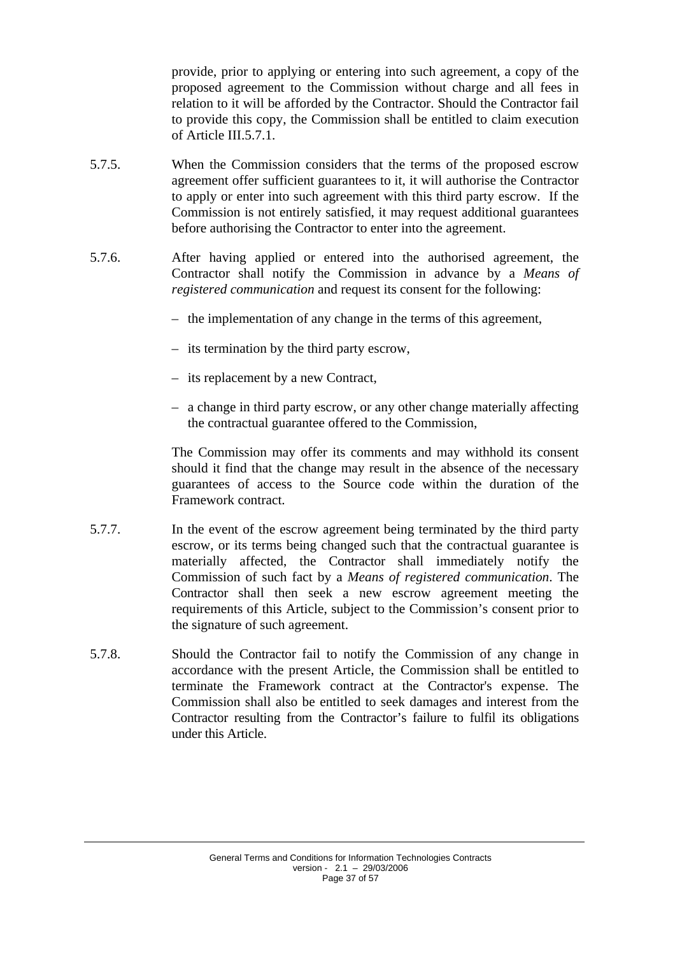provide, prior to applying or entering into such agreement, a copy of the proposed agreement to the Commission without charge and all fees in relation to it will be afforded by the Contractor. Should the Contractor fail to provide this copy, the Commission shall be entitled to claim execution of Article III.5.7.1.

- 5.7.5. When the Commission considers that the terms of the proposed escrow agreement offer sufficient guarantees to it, it will authorise the Contractor to apply or enter into such agreement with this third party escrow. If the Commission is not entirely satisfied, it may request additional guarantees before authorising the Contractor to enter into the agreement.
- 5.7.6. After having applied or entered into the authorised agreement, the Contractor shall notify the Commission in advance by a *Means of registered communication* and request its consent for the following:
	- the implementation of any change in the terms of this agreement,
	- its termination by the third party escrow,
	- its replacement by a new Contract,
	- a change in third party escrow, or any other change materially affecting the contractual guarantee offered to the Commission,

The Commission may offer its comments and may withhold its consent should it find that the change may result in the absence of the necessary guarantees of access to the Source code within the duration of the Framework contract.

- 5.7.7. In the event of the escrow agreement being terminated by the third party escrow, or its terms being changed such that the contractual guarantee is materially affected, the Contractor shall immediately notify the Commission of such fact by a *Means of registered communication*. The Contractor shall then seek a new escrow agreement meeting the requirements of this Article, subject to the Commission's consent prior to the signature of such agreement.
- 5.7.8. Should the Contractor fail to notify the Commission of any change in accordance with the present Article, the Commission shall be entitled to terminate the Framework contract at the Contractor's expense. The Commission shall also be entitled to seek damages and interest from the Contractor resulting from the Contractor's failure to fulfil its obligations under this Article.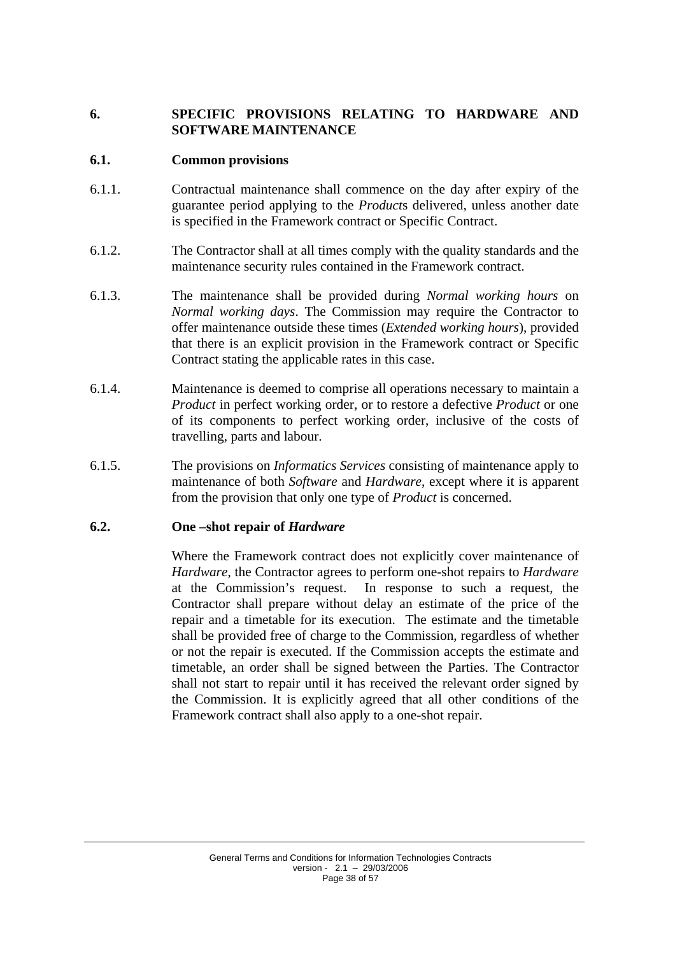## <span id="page-37-0"></span>**6. SPECIFIC PROVISIONS RELATING TO HARDWARE AND SOFTWARE MAINTENANCE**

#### <span id="page-37-1"></span>**6.1. Common provisions**

- 6.1.1. Contractual maintenance shall commence on the day after expiry of the guarantee period applying to the *Product*s delivered, unless another date is specified in the Framework contract or Specific Contract.
- 6.1.2. The Contractor shall at all times comply with the quality standards and the maintenance security rules contained in the Framework contract.
- 6.1.3. The maintenance shall be provided during *Normal working hours* on *Normal working days*. The Commission may require the Contractor to offer maintenance outside these times (*Extended working hours*), provided that there is an explicit provision in the Framework contract or Specific Contract stating the applicable rates in this case.
- 6.1.4. Maintenance is deemed to comprise all operations necessary to maintain a *Product* in perfect working order, or to restore a defective *Product* or one of its components to perfect working order, inclusive of the costs of travelling, parts and labour.
- 6.1.5. The provisions on *Informatics Services* consisting of maintenance apply to maintenance of both *Software* and *Hardware*, except where it is apparent from the provision that only one type of *Product* is concerned.

### <span id="page-37-2"></span>**6.2. One –shot repair of** *Hardware*

Where the Framework contract does not explicitly cover maintenance of *Hardware*, the Contractor agrees to perform one-shot repairs to *Hardware* at the Commission's request. In response to such a request, the Contractor shall prepare without delay an estimate of the price of the repair and a timetable for its execution. The estimate and the timetable shall be provided free of charge to the Commission, regardless of whether or not the repair is executed. If the Commission accepts the estimate and timetable, an order shall be signed between the Parties. The Contractor shall not start to repair until it has received the relevant order signed by the Commission. It is explicitly agreed that all other conditions of the Framework contract shall also apply to a one-shot repair.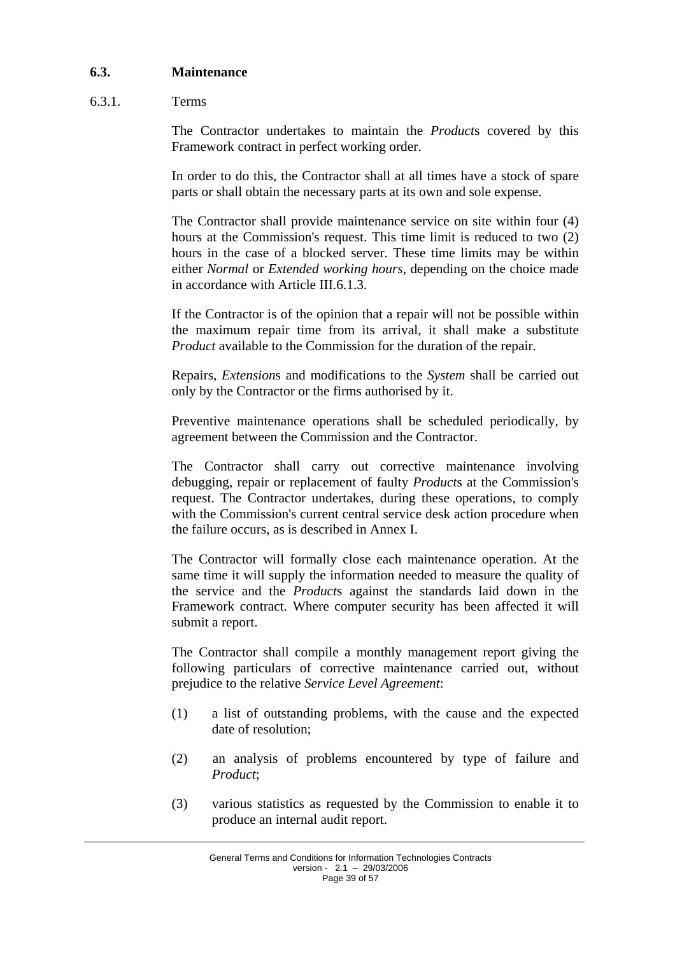### <span id="page-38-0"></span>**6.3. Maintenance**

### 6.3.1. Terms

The Contractor undertakes to maintain the *Product*s covered by this Framework contract in perfect working order.

In order to do this, the Contractor shall at all times have a stock of spare parts or shall obtain the necessary parts at its own and sole expense.

The Contractor shall provide maintenance service on site within four (4) hours at the Commission's request. This time limit is reduced to two (2) hours in the case of a blocked server. These time limits may be within either *Normal* or *Extended working hours*, depending on the choice made in accordance with Article III.6.1.3.

If the Contractor is of the opinion that a repair will not be possible within the maximum repair time from its arrival, it shall make a substitute *Product* available to the Commission for the duration of the repair.

Repairs, *Extension*s and modifications to the *System* shall be carried out only by the Contractor or the firms authorised by it.

Preventive maintenance operations shall be scheduled periodically, by agreement between the Commission and the Contractor.

The Contractor shall carry out corrective maintenance involving debugging, repair or replacement of faulty *Product*s at the Commission's request. The Contractor undertakes, during these operations, to comply with the Commission's current central service desk action procedure when the failure occurs, as is described in Annex I.

The Contractor will formally close each maintenance operation. At the same time it will supply the information needed to measure the quality of the service and the *Product*s against the standards laid down in the Framework contract. Where computer security has been affected it will submit a report.

The Contractor shall compile a monthly management report giving the following particulars of corrective maintenance carried out, without prejudice to the relative *Service Level Agreement*:

- (1) a list of outstanding problems, with the cause and the expected date of resolution;
- (2) an analysis of problems encountered by type of failure and *Product*;
- (3) various statistics as requested by the Commission to enable it to produce an internal audit report.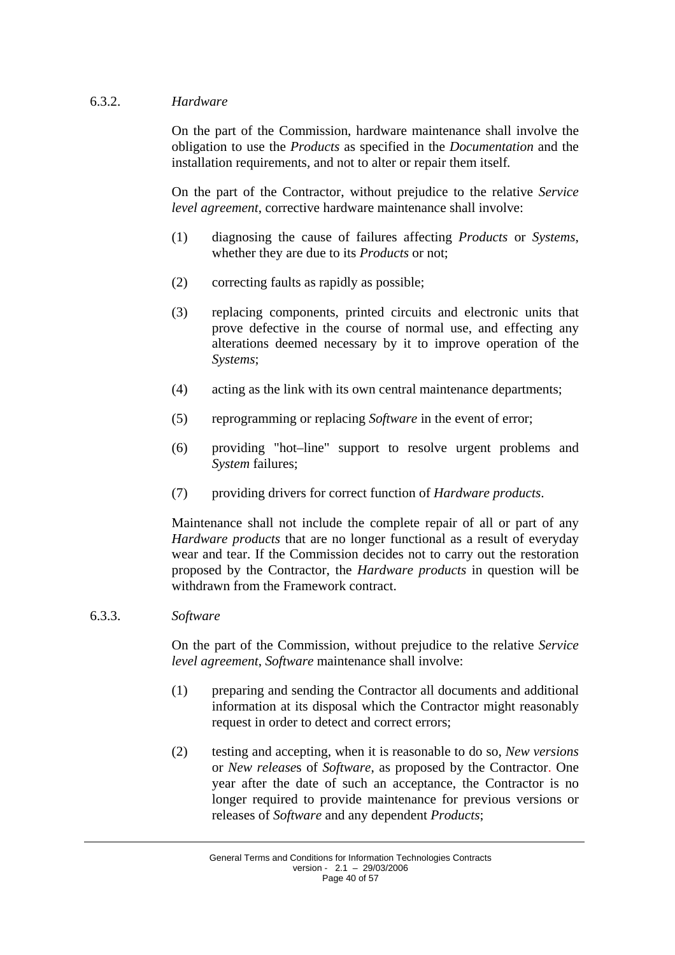### 6.3.2. *Hardware*

On the part of the Commission, hardware maintenance shall involve the obligation to use the *Products* as specified in the *Documentation* and the installation requirements, and not to alter or repair them itself*.* 

On the part of the Contractor, without prejudice to the relative *Service level agreement*, corrective hardware maintenance shall involve:

- (1) diagnosing the cause of failures affecting *Products* or *Systems*, whether they are due to its *Products* or not;
- (2) correcting faults as rapidly as possible;
- (3) replacing components, printed circuits and electronic units that prove defective in the course of normal use, and effecting any alterations deemed necessary by it to improve operation of the *Systems*;
- (4) acting as the link with its own central maintenance departments;
- (5) reprogramming or replacing *Software* in the event of error;
- (6) providing "hot–line" support to resolve urgent problems and *System* failures;
- (7) providing drivers for correct function of *Hardware products*.

Maintenance shall not include the complete repair of all or part of any *Hardware products* that are no longer functional as a result of everyday wear and tear. If the Commission decides not to carry out the restoration proposed by the Contractor, the *Hardware products* in question will be withdrawn from the Framework contract.

#### 6.3.3. *Software*

On the part of the Commission, without prejudice to the relative *Service level agreement*, *Software* maintenance shall involve:

- (1) preparing and sending the Contractor all documents and additional information at its disposal which the Contractor might reasonably request in order to detect and correct errors;
- (2) testing and accepting, when it is reasonable to do so, *New versions* or *New release*s of *Software*, as proposed by the Contractor. One year after the date of such an acceptance, the Contractor is no longer required to provide maintenance for previous versions or releases of *Software* and any dependent *Products*;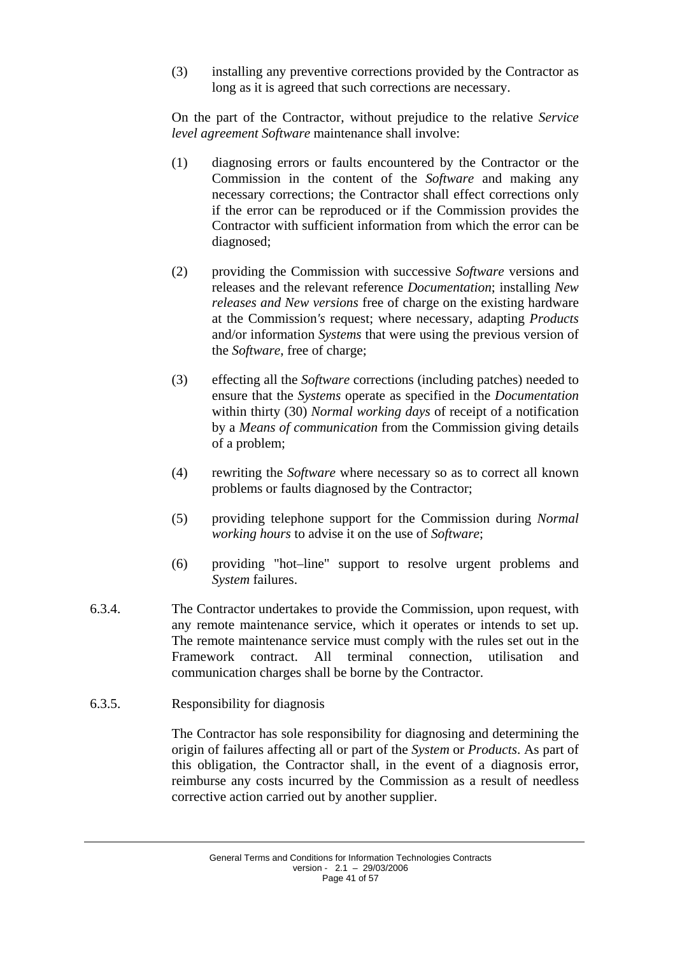(3) installing any preventive corrections provided by the Contractor as long as it is agreed that such corrections are necessary.

On the part of the Contractor, without prejudice to the relative *Service level agreement Software* maintenance shall involve:

- (1) diagnosing errors or faults encountered by the Contractor or the Commission in the content of the *Software* and making any necessary corrections; the Contractor shall effect corrections only if the error can be reproduced or if the Commission provides the Contractor with sufficient information from which the error can be diagnosed;
- (2) providing the Commission with successive *Software* versions and releases and the relevant reference *Documentation*; installing *New releases and New versions* free of charge on the existing hardware at the Commission*'s* request; where necessary, adapting *Products* and/or information *Systems* that were using the previous version of the *Software*, free of charge;
- (3) effecting all the *Software* corrections (including patches) needed to ensure that the *Systems* operate as specified in the *Documentation* within thirty (30) *Normal working days* of receipt of a notification by a *Means of communication* from the Commission giving details of a problem;
- (4) rewriting the *Software* where necessary so as to correct all known problems or faults diagnosed by the Contractor;
- (5) providing telephone support for the Commission during *Normal working hours* to advise it on the use of *Software*;
- (6) providing "hot–line" support to resolve urgent problems and *System* failures.
- 6.3.4. The Contractor undertakes to provide the Commission, upon request, with any remote maintenance service, which it operates or intends to set up. The remote maintenance service must comply with the rules set out in the Framework contract. All terminal connection, utilisation and communication charges shall be borne by the Contractor.
- 6.3.5. Responsibility for diagnosis

The Contractor has sole responsibility for diagnosing and determining the origin of failures affecting all or part of the *System* or *Products*. As part of this obligation, the Contractor shall, in the event of a diagnosis error, reimburse any costs incurred by the Commission as a result of needless corrective action carried out by another supplier.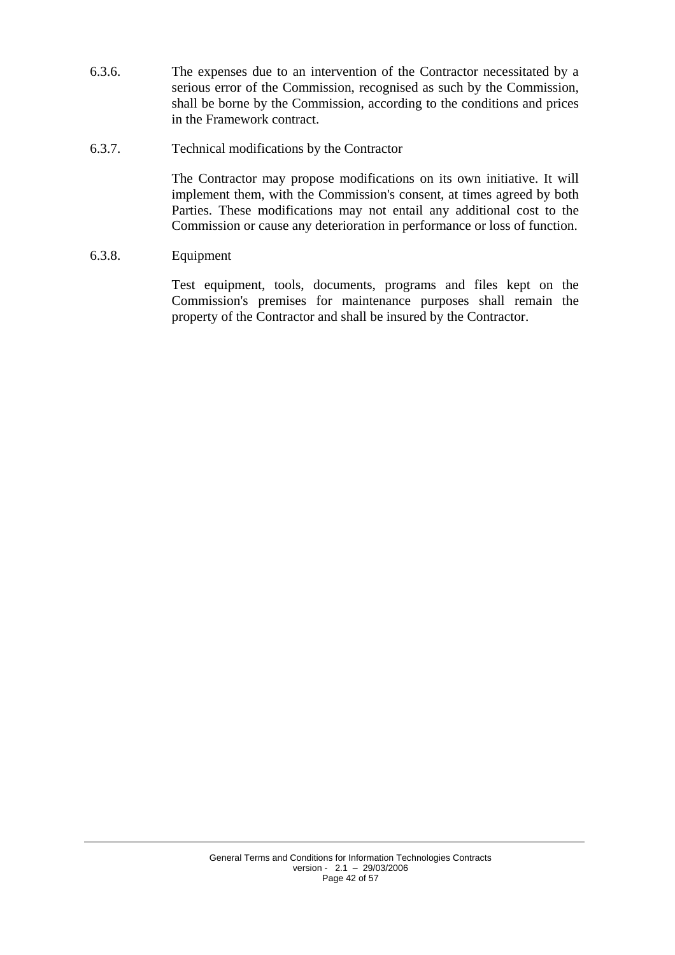- 6.3.6. The expenses due to an intervention of the Contractor necessitated by a serious error of the Commission, recognised as such by the Commission, shall be borne by the Commission, according to the conditions and prices in the Framework contract.
- 6.3.7. Technical modifications by the Contractor

The Contractor may propose modifications on its own initiative. It will implement them, with the Commission's consent, at times agreed by both Parties. These modifications may not entail any additional cost to the Commission or cause any deterioration in performance or loss of function.

6.3.8. Equipment

Test equipment, tools, documents, programs and files kept on the Commission's premises for maintenance purposes shall remain the property of the Contractor and shall be insured by the Contractor.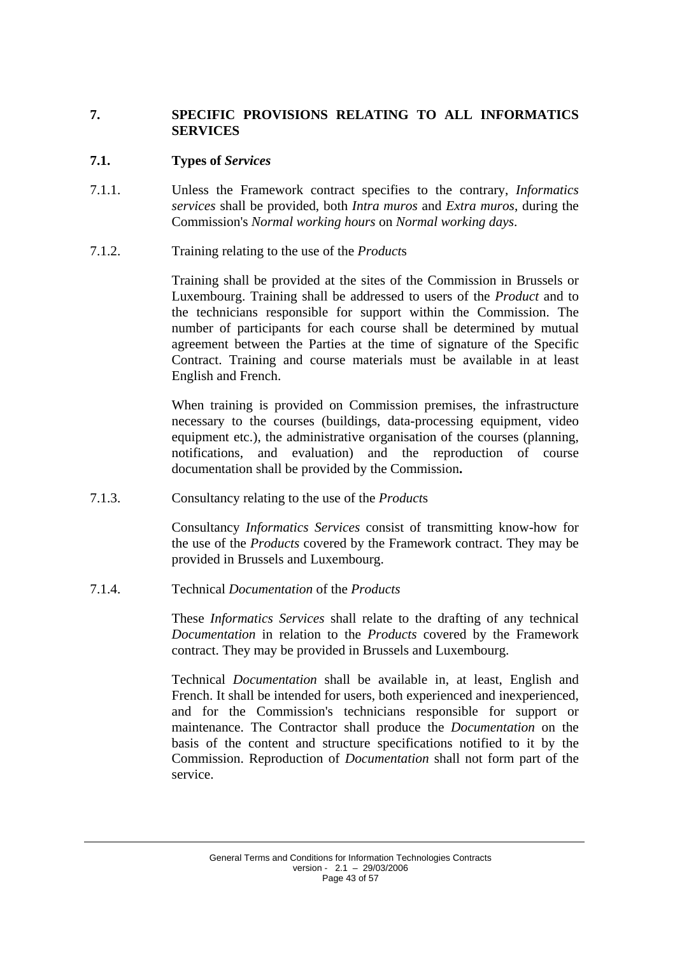## <span id="page-42-0"></span>**7. SPECIFIC PROVISIONS RELATING TO ALL INFORMATICS SERVICES**

### <span id="page-42-1"></span>**7.1. Types of** *Services*

- 7.1.1. Unless the Framework contract specifies to the contrary, *Informatics services* shall be provided, both *Intra muros* and *Extra muros*, during the Commission's *Normal working hours* on *Normal working days*.
- 7.1.2. Training relating to the use of the *Product*s

Training shall be provided at the sites of the Commission in Brussels or Luxembourg. Training shall be addressed to users of the *Product* and to the technicians responsible for support within the Commission. The number of participants for each course shall be determined by mutual agreement between the Parties at the time of signature of the Specific Contract. Training and course materials must be available in at least English and French.

When training is provided on Commission premises, the infrastructure necessary to the courses (buildings, data-processing equipment, video equipment etc.), the administrative organisation of the courses (planning, notifications, and evaluation) and the reproduction of course documentation shall be provided by the Commission**.**

7.1.3. Consultancy relating to the use of the *Product*s

Consultancy *Informatics Services* consist of transmitting know-how for the use of the *Products* covered by the Framework contract. They may be provided in Brussels and Luxembourg.

7.1.4. Technical *Documentation* of the *Products*

These *Informatics Services* shall relate to the drafting of any technical *Documentation* in relation to the *Products* covered by the Framework contract. They may be provided in Brussels and Luxembourg.

Technical *Documentation* shall be available in, at least, English and French. It shall be intended for users, both experienced and inexperienced, and for the Commission's technicians responsible for support or maintenance. The Contractor shall produce the *Documentation* on the basis of the content and structure specifications notified to it by the Commission. Reproduction of *Documentation* shall not form part of the service.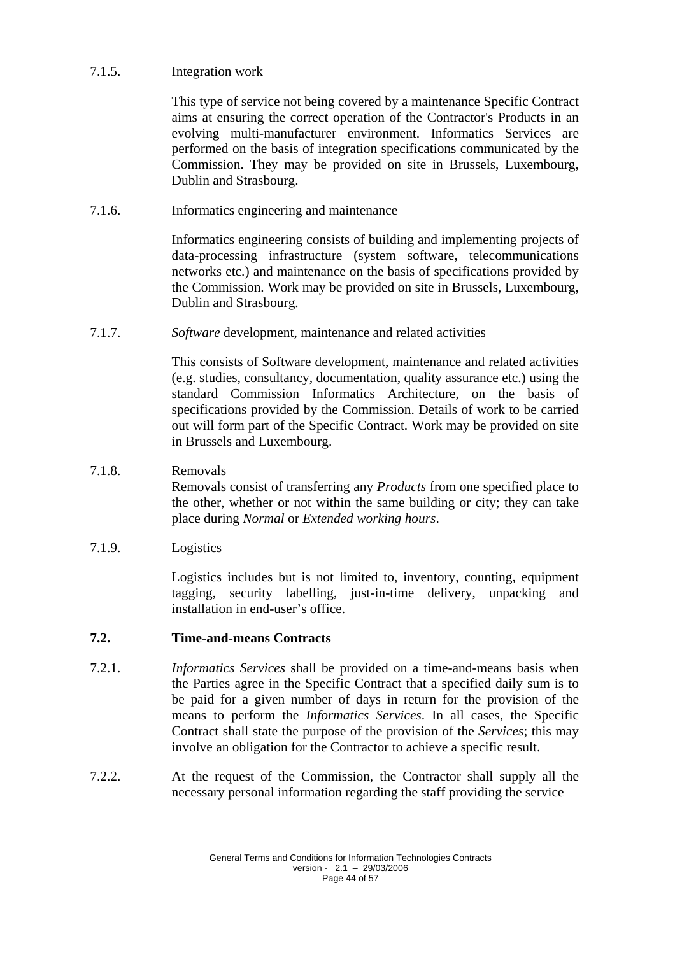## 7.1.5. Integration work

This type of service not being covered by a maintenance Specific Contract aims at ensuring the correct operation of the Contractor's Products in an evolving multi-manufacturer environment. Informatics Services are performed on the basis of integration specifications communicated by the Commission. They may be provided on site in Brussels, Luxembourg, Dublin and Strasbourg.

7.1.6. Informatics engineering and maintenance

Informatics engineering consists of building and implementing projects of data-processing infrastructure (system software, telecommunications networks etc.) and maintenance on the basis of specifications provided by the Commission. Work may be provided on site in Brussels, Luxembourg, Dublin and Strasbourg.

7.1.7. *Software* development, maintenance and related activities

This consists of Software development, maintenance and related activities (e.g. studies, consultancy, documentation, quality assurance etc.) using the standard Commission Informatics Architecture, on the basis of specifications provided by the Commission. Details of work to be carried out will form part of the Specific Contract. Work may be provided on site in Brussels and Luxembourg.

## 7.1.8. Removals

Removals consist of transferring any *Products* from one specified place to the other, whether or not within the same building or city; they can take place during *Normal* or *Extended working hours*.

7.1.9. Logistics

Logistics includes but is not limited to, inventory, counting, equipment tagging, security labelling, just-in-time delivery, unpacking and installation in end-user's office.

### <span id="page-43-0"></span>**7.2. Time-and-means Contracts**

- 7.2.1. *Informatics Services* shall be provided on a time-and-means basis when the Parties agree in the Specific Contract that a specified daily sum is to be paid for a given number of days in return for the provision of the means to perform the *Informatics Services*. In all cases, the Specific Contract shall state the purpose of the provision of the *Services*; this may involve an obligation for the Contractor to achieve a specific result.
- 7.2.2. At the request of the Commission, the Contractor shall supply all the necessary personal information regarding the staff providing the service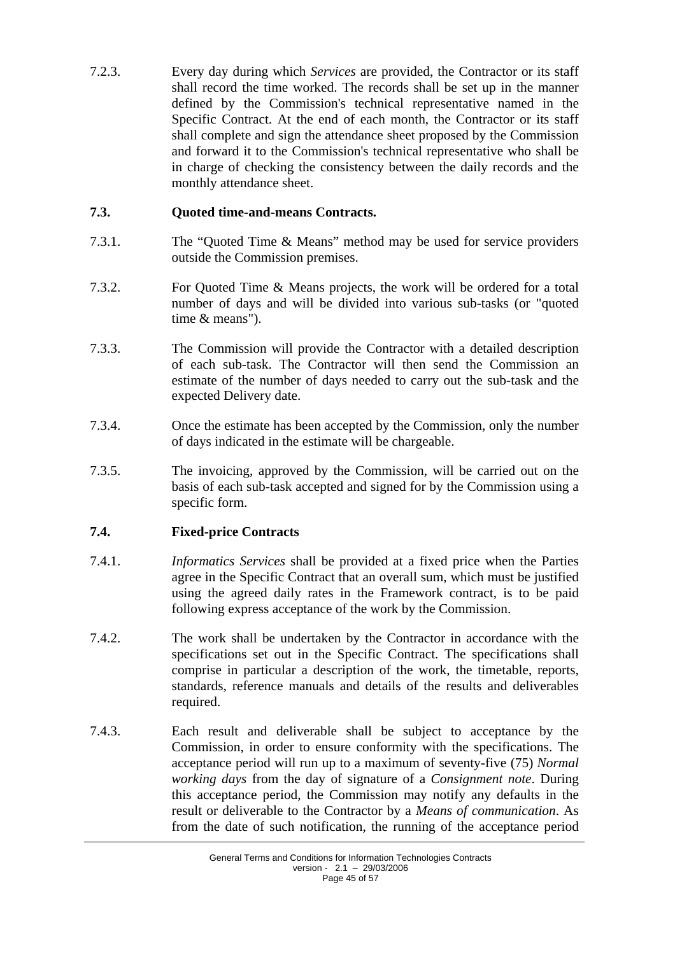7.2.3. Every day during which *Services* are provided, the Contractor or its staff shall record the time worked. The records shall be set up in the manner defined by the Commission's technical representative named in the Specific Contract. At the end of each month, the Contractor or its staff shall complete and sign the attendance sheet proposed by the Commission and forward it to the Commission's technical representative who shall be in charge of checking the consistency between the daily records and the monthly attendance sheet.

## <span id="page-44-0"></span>**7.3. Quoted time-and-means Contracts.**

- 7.3.1. The "Quoted Time & Means" method may be used for service providers outside the Commission premises.
- 7.3.2. For Quoted Time & Means projects, the work will be ordered for a total number of days and will be divided into various sub-tasks (or "quoted time & means").
- 7.3.3. The Commission will provide the Contractor with a detailed description of each sub-task. The Contractor will then send the Commission an estimate of the number of days needed to carry out the sub-task and the expected Delivery date.
- 7.3.4. Once the estimate has been accepted by the Commission, only the number of days indicated in the estimate will be chargeable.
- 7.3.5. The invoicing, approved by the Commission, will be carried out on the basis of each sub-task accepted and signed for by the Commission using a specific form.

### <span id="page-44-1"></span>**7.4. Fixed-price Contracts**

- 7.4.1. *Informatics Services* shall be provided at a fixed price when the Parties agree in the Specific Contract that an overall sum, which must be justified using the agreed daily rates in the Framework contract, is to be paid following express acceptance of the work by the Commission.
- 7.4.2. The work shall be undertaken by the Contractor in accordance with the specifications set out in the Specific Contract. The specifications shall comprise in particular a description of the work, the timetable, reports, standards, reference manuals and details of the results and deliverables required.
- 7.4.3. Each result and deliverable shall be subject to acceptance by the Commission, in order to ensure conformity with the specifications. The acceptance period will run up to a maximum of seventy-five (75) *Normal working days* from the day of signature of a *Consignment note*. During this acceptance period, the Commission may notify any defaults in the result or deliverable to the Contractor by a *Means of communication*. As from the date of such notification, the running of the acceptance period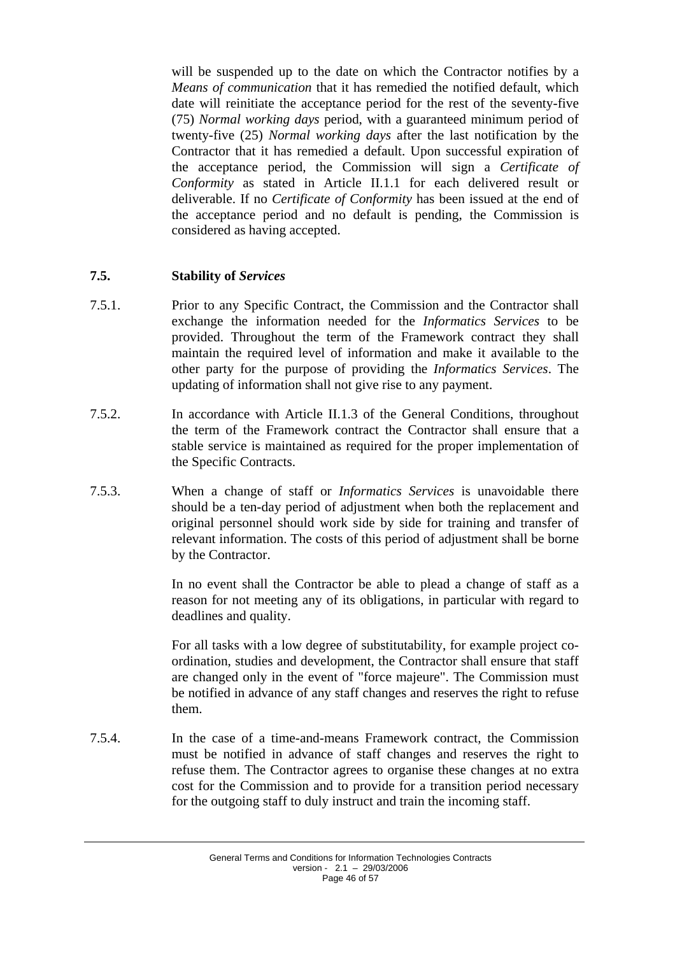will be suspended up to the date on which the Contractor notifies by a *Means of communication* that it has remedied the notified default, which date will reinitiate the acceptance period for the rest of the seventy-five (75) *Normal working days* period, with a guaranteed minimum period of twenty-five (25) *Normal working days* after the last notification by the Contractor that it has remedied a default. Upon successful expiration of the acceptance period, the Commission will sign a *Certificate of Conformity* as stated in Article II.1.1 for each delivered result or deliverable. If no *Certificate of Conformity* has been issued at the end of the acceptance period and no default is pending, the Commission is considered as having accepted.

## <span id="page-45-0"></span>**7.5. Stability of** *Services*

- 7.5.1. Prior to any Specific Contract, the Commission and the Contractor shall exchange the information needed for the *Informatics Services* to be provided. Throughout the term of the Framework contract they shall maintain the required level of information and make it available to the other party for the purpose of providing the *Informatics Services*. The updating of information shall not give rise to any payment.
- 7.5.2. In accordance with Article II.1.3 of the General Conditions, throughout the term of the Framework contract the Contractor shall ensure that a stable service is maintained as required for the proper implementation of the Specific Contracts.
- 7.5.3. When a change of staff or *Informatics Services* is unavoidable there should be a ten-day period of adjustment when both the replacement and original personnel should work side by side for training and transfer of relevant information. The costs of this period of adjustment shall be borne by the Contractor.

In no event shall the Contractor be able to plead a change of staff as a reason for not meeting any of its obligations, in particular with regard to deadlines and quality.

For all tasks with a low degree of substitutability, for example project coordination, studies and development, the Contractor shall ensure that staff are changed only in the event of "force majeure". The Commission must be notified in advance of any staff changes and reserves the right to refuse them.

7.5.4. In the case of a time-and-means Framework contract, the Commission must be notified in advance of staff changes and reserves the right to refuse them. The Contractor agrees to organise these changes at no extra cost for the Commission and to provide for a transition period necessary for the outgoing staff to duly instruct and train the incoming staff.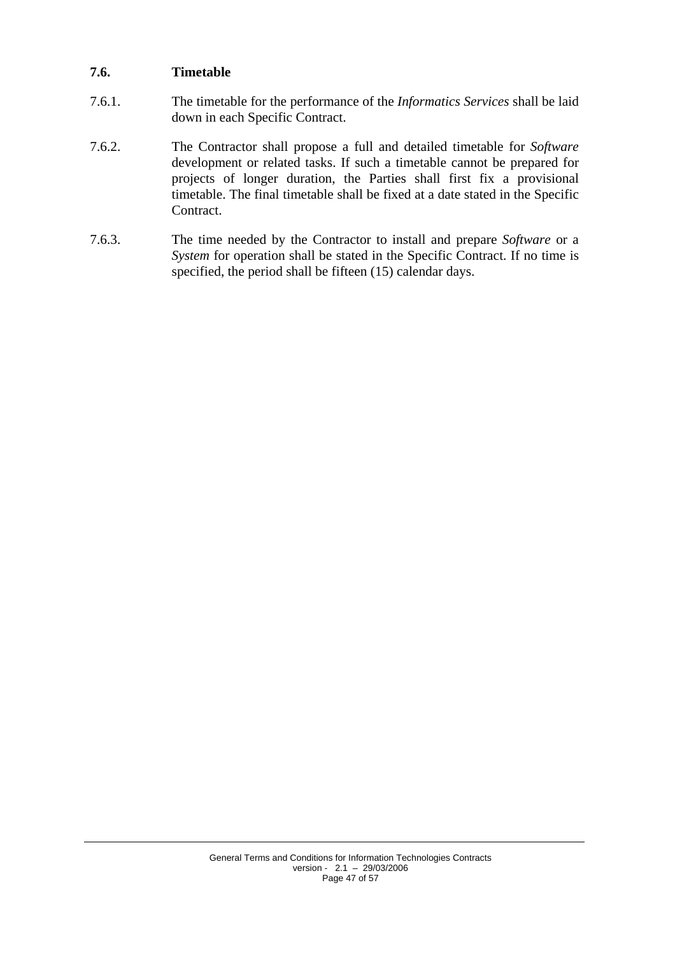## <span id="page-46-0"></span>**7.6. Timetable**

- 7.6.1. The timetable for the performance of the *Informatics Services* shall be laid down in each Specific Contract.
- 7.6.2. The Contractor shall propose a full and detailed timetable for *Software* development or related tasks. If such a timetable cannot be prepared for projects of longer duration, the Parties shall first fix a provisional timetable. The final timetable shall be fixed at a date stated in the Specific Contract.
- 7.6.3. The time needed by the Contractor to install and prepare *Software* or a *System* for operation shall be stated in the Specific Contract. If no time is specified, the period shall be fifteen (15) calendar days.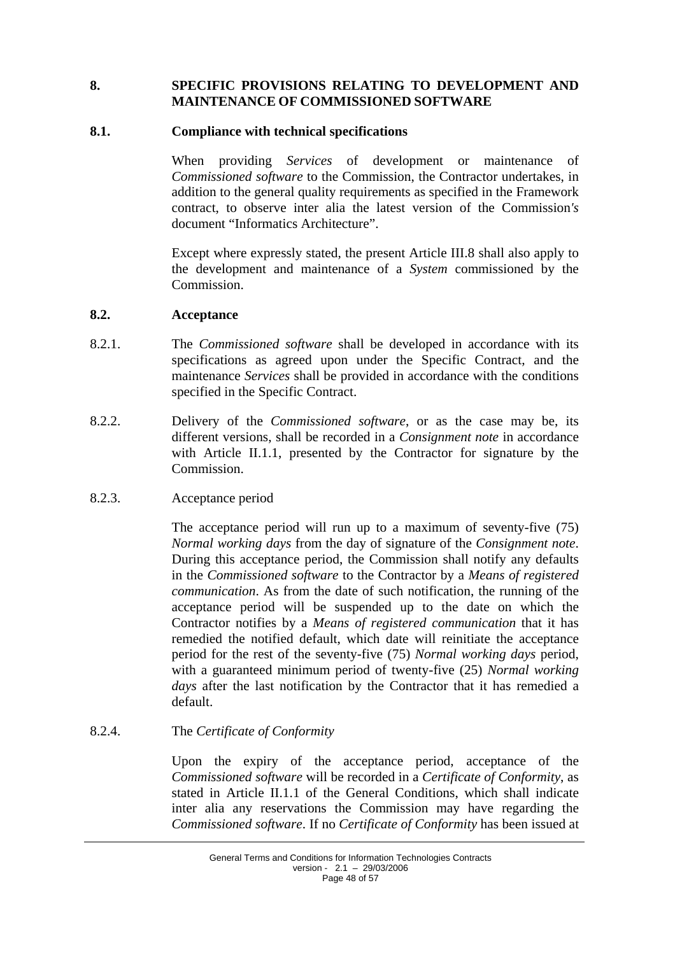### <span id="page-47-0"></span>**8. SPECIFIC PROVISIONS RELATING TO DEVELOPMENT AND MAINTENANCE OF COMMISSIONED SOFTWARE**

#### <span id="page-47-1"></span>**8.1. Compliance with technical specifications**

When providing *Services* of development or maintenance of *Commissioned software* to the Commission, the Contractor undertakes, in addition to the general quality requirements as specified in the Framework contract, to observe inter alia the latest version of the Commission*'s* document "Informatics Architecture".

Except where expressly stated, the present Article III.8 shall also apply to the development and maintenance of a *System* commissioned by the Commission.

#### <span id="page-47-2"></span>**8.2. Acceptance**

- 8.2.1. The *Commissioned software* shall be developed in accordance with its specifications as agreed upon under the Specific Contract, and the maintenance *Services* shall be provided in accordance with the conditions specified in the Specific Contract.
- 8.2.2. Delivery of the *Commissioned software*, or as the case may be, its different versions, shall be recorded in a *Consignment note* in accordance with Article II.1.1, presented by the Contractor for signature by the Commission.

#### 8.2.3. Acceptance period

The acceptance period will run up to a maximum of seventy-five (75) *Normal working days* from the day of signature of the *Consignment note*. During this acceptance period, the Commission shall notify any defaults in the *Commissioned software* to the Contractor by a *Means of registered communication*. As from the date of such notification, the running of the acceptance period will be suspended up to the date on which the Contractor notifies by a *Means of registered communication* that it has remedied the notified default, which date will reinitiate the acceptance period for the rest of the seventy-five (75) *Normal working days* period, with a guaranteed minimum period of twenty-five (25) *Normal working days* after the last notification by the Contractor that it has remedied a default.

### 8.2.4. The *Certificate of Conformity*

Upon the expiry of the acceptance period, acceptance of the *Commissioned software* will be recorded in a *Certificate of Conformity*, as stated in Article II.1.1 of the General Conditions, which shall indicate inter alia any reservations the Commission may have regarding the *Commissioned software*. If no *Certificate of Conformity* has been issued at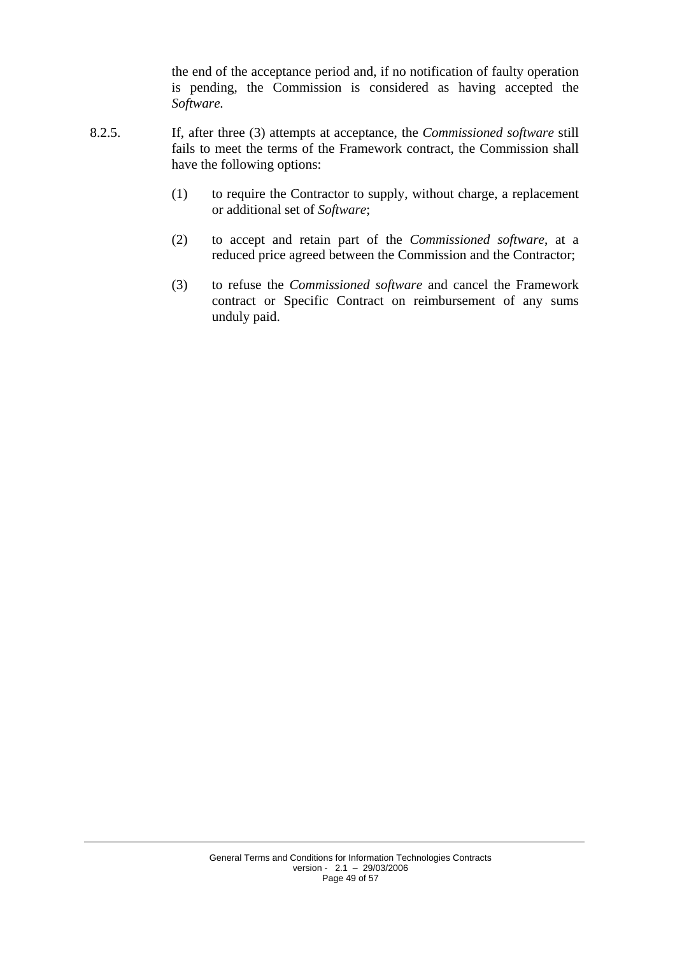the end of the acceptance period and, if no notification of faulty operation is pending, the Commission is considered as having accepted the *Software.*

- 8.2.5. If, after three (3) attempts at acceptance, the *Commissioned software* still fails to meet the terms of the Framework contract, the Commission shall have the following options:
	- (1) to require the Contractor to supply, without charge, a replacement or additional set of *Software*;
	- (2) to accept and retain part of the *Commissioned software*, at a reduced price agreed between the Commission and the Contractor;
	- (3) to refuse the *Commissioned software* and cancel the Framework contract or Specific Contract on reimbursement of any sums unduly paid.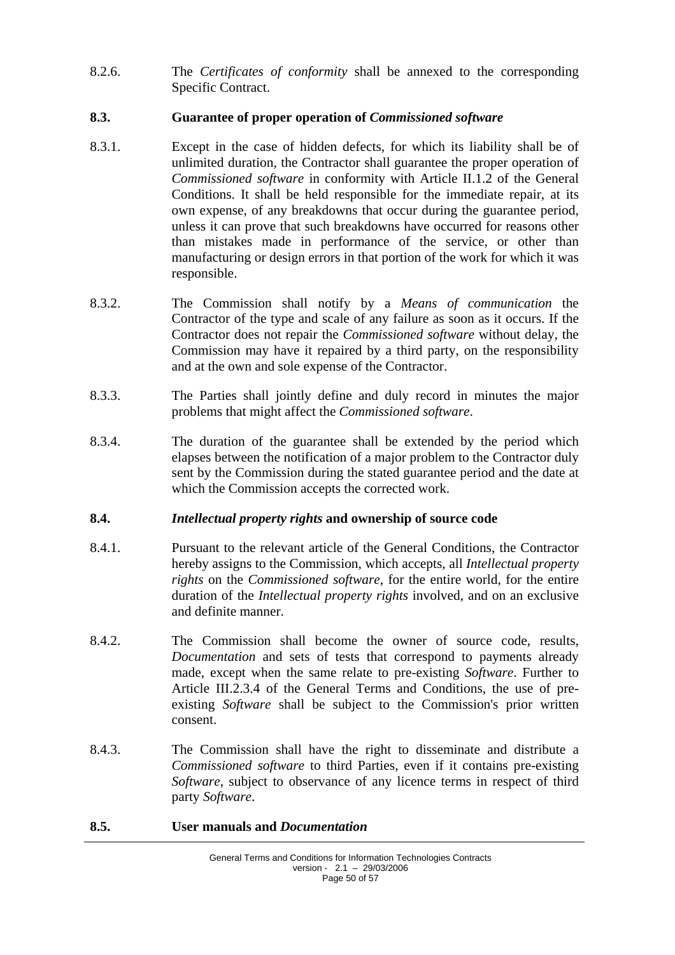8.2.6. The *Certificates of conformity* shall be annexed to the corresponding Specific Contract.

## <span id="page-49-0"></span>**8.3. Guarantee of proper operation of** *Commissioned software*

- 8.3.1. Except in the case of hidden defects, for which its liability shall be of unlimited duration, the Contractor shall guarantee the proper operation of *Commissioned software* in conformity with Article II.1.2 of the General Conditions. It shall be held responsible for the immediate repair, at its own expense, of any breakdowns that occur during the guarantee period, unless it can prove that such breakdowns have occurred for reasons other than mistakes made in performance of the service, or other than manufacturing or design errors in that portion of the work for which it was responsible.
- 8.3.2. The Commission shall notify by a *Means of communication* the Contractor of the type and scale of any failure as soon as it occurs. If the Contractor does not repair the *Commissioned software* without delay, the Commission may have it repaired by a third party, on the responsibility and at the own and sole expense of the Contractor.
- 8.3.3. The Parties shall jointly define and duly record in minutes the major problems that might affect the *Commissioned software*.
- 8.3.4. The duration of the guarantee shall be extended by the period which elapses between the notification of a major problem to the Contractor duly sent by the Commission during the stated guarantee period and the date at which the Commission accepts the corrected work.

## <span id="page-49-1"></span>**8.4.** *Intellectual property rights* **and ownership of source code**

- 8.4.1. Pursuant to the relevant article of the General Conditions, the Contractor hereby assigns to the Commission, which accepts, all *Intellectual property rights* on the *Commissioned software*, for the entire world, for the entire duration of the *Intellectual property rights* involved, and on an exclusive and definite manner.
- 8.4.2. The Commission shall become the owner of source code, results, *Documentation* and sets of tests that correspond to payments already made, except when the same relate to pre-existing *Software*. Further to Article III.2.3.4 of the General Terms and Conditions, the use of preexisting *Software* shall be subject to the Commission's prior written consent.
- 8.4.3. The Commission shall have the right to disseminate and distribute a *Commissioned software* to third Parties, even if it contains pre-existing *Software*, subject to observance of any licence terms in respect of third party *Software*.

### <span id="page-49-2"></span>**8.5. User manuals and** *Documentation*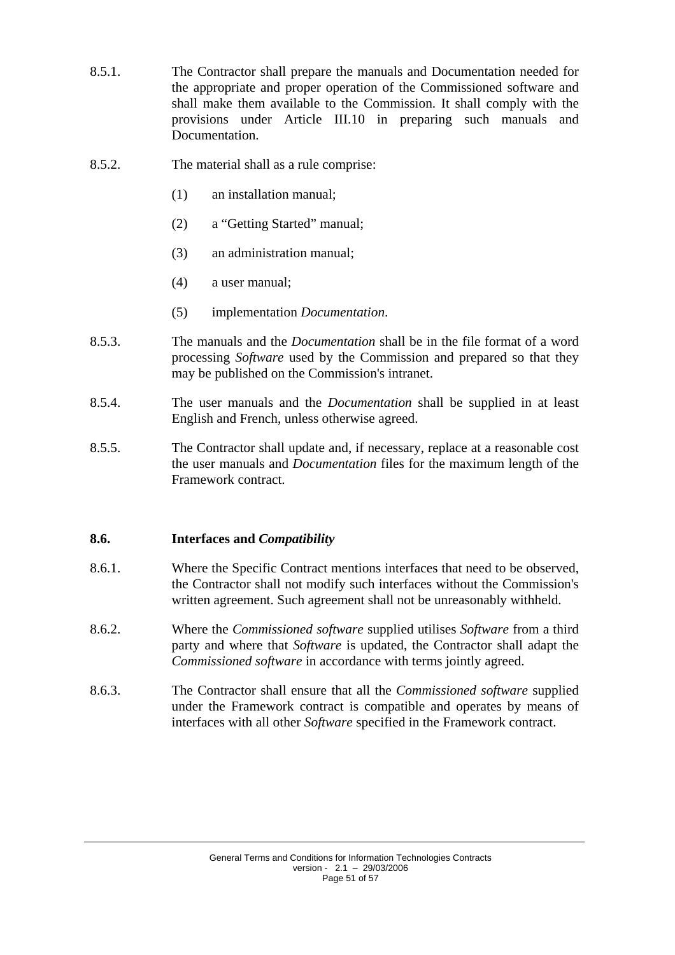- 8.5.1. The Contractor shall prepare the manuals and Documentation needed for the appropriate and proper operation of the Commissioned software and shall make them available to the Commission. It shall comply with the provisions under Article III.10 in preparing such manuals and **Documentation**
- 8.5.2. The material shall as a rule comprise:
	- (1) an installation manual;
	- (2) a "Getting Started" manual;
	- (3) an administration manual;
	- (4) a user manual;
	- (5) implementation *Documentation*.
- 8.5.3. The manuals and the *Documentation* shall be in the file format of a word processing *Software* used by the Commission and prepared so that they may be published on the Commission's intranet.
- 8.5.4. The user manuals and the *Documentation* shall be supplied in at least English and French, unless otherwise agreed.
- 8.5.5. The Contractor shall update and, if necessary, replace at a reasonable cost the user manuals and *Documentation* files for the maximum length of the Framework contract.

### <span id="page-50-0"></span>**8.6. Interfaces and** *Compatibility*

- 8.6.1. Where the Specific Contract mentions interfaces that need to be observed, the Contractor shall not modify such interfaces without the Commission's written agreement. Such agreement shall not be unreasonably withheld.
- 8.6.2. Where the *Commissioned software* supplied utilises *Software* from a third party and where that *Software* is updated, the Contractor shall adapt the *Commissioned software* in accordance with terms jointly agreed.
- 8.6.3. The Contractor shall ensure that all the *Commissioned software* supplied under the Framework contract is compatible and operates by means of interfaces with all other *Software* specified in the Framework contract.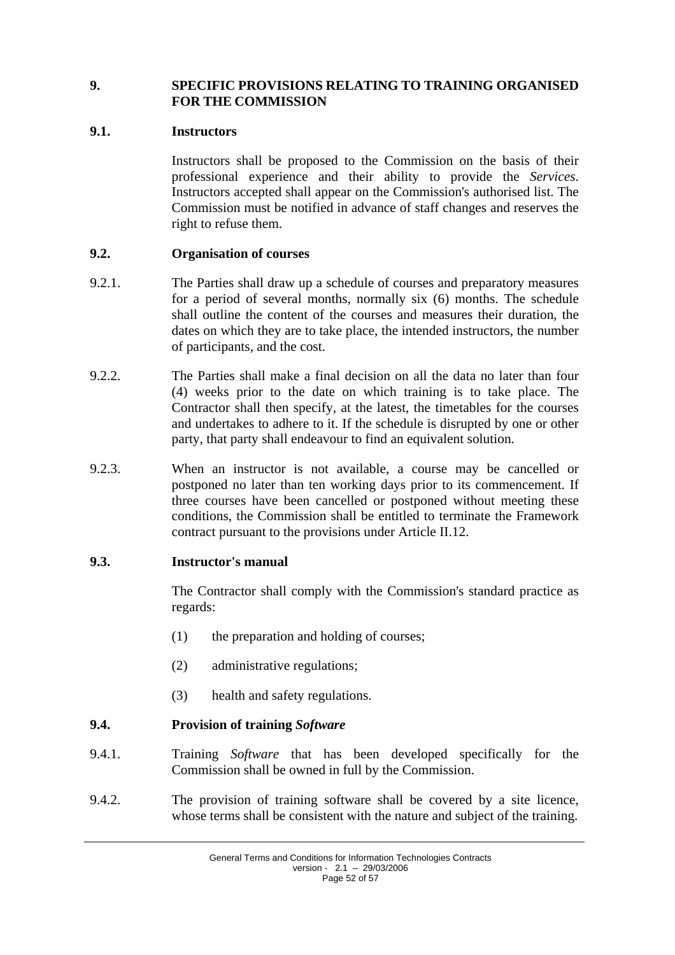### <span id="page-51-0"></span>**9. SPECIFIC PROVISIONS RELATING TO TRAINING ORGANISED FOR THE COMMISSION**

### <span id="page-51-1"></span>**9.1. Instructors**

Instructors shall be proposed to the Commission on the basis of their professional experience and their ability to provide the *Services*. Instructors accepted shall appear on the Commission's authorised list. The Commission must be notified in advance of staff changes and reserves the right to refuse them.

## <span id="page-51-2"></span>**9.2. Organisation of courses**

- 9.2.1. The Parties shall draw up a schedule of courses and preparatory measures for a period of several months, normally six (6) months. The schedule shall outline the content of the courses and measures their duration, the dates on which they are to take place, the intended instructors, the number of participants, and the cost.
- 9.2.2. The Parties shall make a final decision on all the data no later than four (4) weeks prior to the date on which training is to take place. The Contractor shall then specify, at the latest, the timetables for the courses and undertakes to adhere to it. If the schedule is disrupted by one or other party, that party shall endeavour to find an equivalent solution.
- 9.2.3. When an instructor is not available, a course may be cancelled or postponed no later than ten working days prior to its commencement. If three courses have been cancelled or postponed without meeting these conditions, the Commission shall be entitled to terminate the Framework contract pursuant to the provisions under Article II.12.

### <span id="page-51-3"></span>**9.3. Instructor's manual**

The Contractor shall comply with the Commission's standard practice as regards:

- (1) the preparation and holding of courses;
- (2) administrative regulations;
- (3) health and safety regulations.

## <span id="page-51-4"></span>**9.4. Provision of training** *Software*

- 9.4.1. Training *Software* that has been developed specifically for the Commission shall be owned in full by the Commission.
- 9.4.2. The provision of training software shall be covered by a site licence, whose terms shall be consistent with the nature and subject of the training.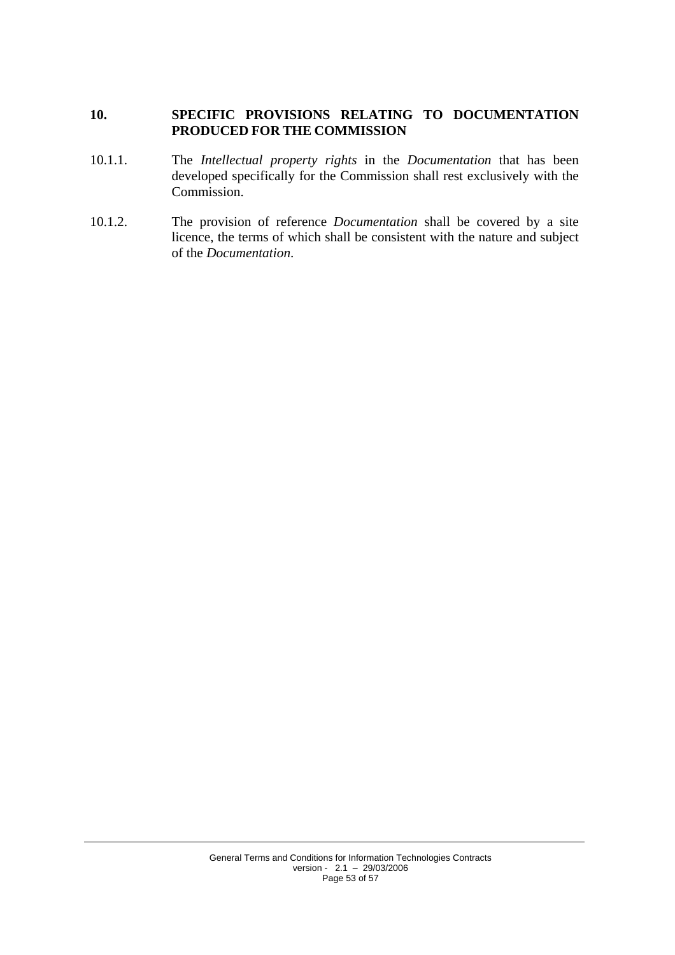### <span id="page-52-0"></span>**10. SPECIFIC PROVISIONS RELATING TO DOCUMENTATION PRODUCED FOR THE COMMISSION**

- 10.1.1. The *Intellectual property rights* in the *Documentation* that has been developed specifically for the Commission shall rest exclusively with the Commission.
- 10.1.2. The provision of reference *Documentation* shall be covered by a site licence, the terms of which shall be consistent with the nature and subject of the *Documentation*.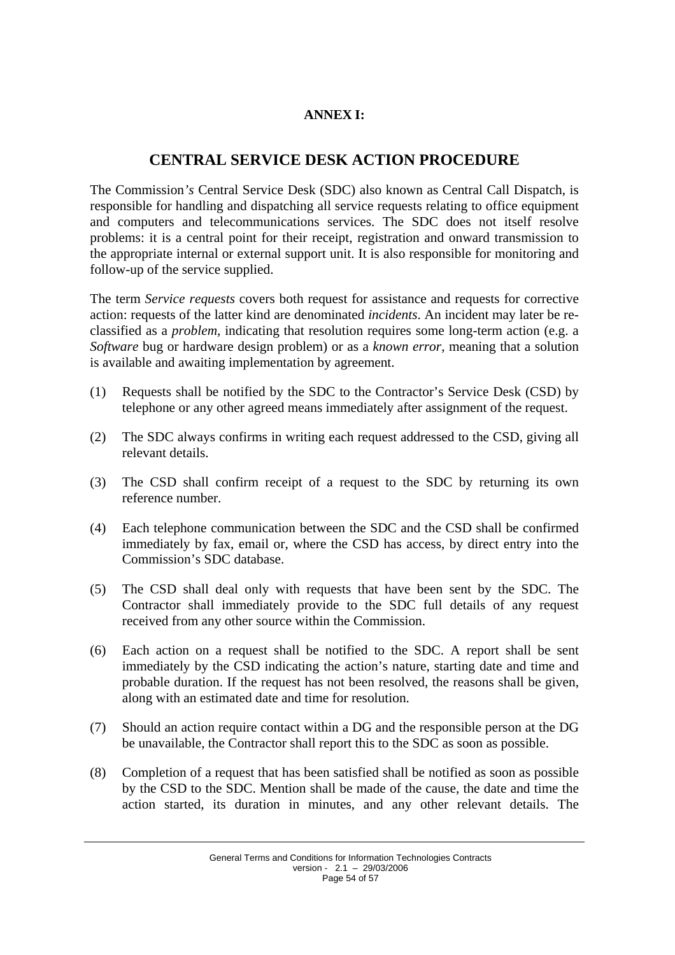## **ANNEX I:**

# **CENTRAL SERVICE DESK ACTION PROCEDURE**

<span id="page-53-0"></span>The Commission*'s* Central Service Desk (SDC) also known as Central Call Dispatch, is responsible for handling and dispatching all service requests relating to office equipment and computers and telecommunications services. The SDC does not itself resolve problems: it is a central point for their receipt, registration and onward transmission to the appropriate internal or external support unit. It is also responsible for monitoring and follow-up of the service supplied.

The term *Service requests* covers both request for assistance and requests for corrective action: requests of the latter kind are denominated *incidents*. An incident may later be reclassified as a *problem*, indicating that resolution requires some long-term action (e.g. a *Software* bug or hardware design problem) or as a *known error*, meaning that a solution is available and awaiting implementation by agreement.

- (1) Requests shall be notified by the SDC to the Contractor's Service Desk (CSD) by telephone or any other agreed means immediately after assignment of the request.
- (2) The SDC always confirms in writing each request addressed to the CSD, giving all relevant details.
- (3) The CSD shall confirm receipt of a request to the SDC by returning its own reference number.
- (4) Each telephone communication between the SDC and the CSD shall be confirmed immediately by fax, email or, where the CSD has access, by direct entry into the Commission's SDC database.
- (5) The CSD shall deal only with requests that have been sent by the SDC. The Contractor shall immediately provide to the SDC full details of any request received from any other source within the Commission.
- (6) Each action on a request shall be notified to the SDC. A report shall be sent immediately by the CSD indicating the action's nature, starting date and time and probable duration. If the request has not been resolved, the reasons shall be given, along with an estimated date and time for resolution.
- (7) Should an action require contact within a DG and the responsible person at the DG be unavailable, the Contractor shall report this to the SDC as soon as possible.
- (8) Completion of a request that has been satisfied shall be notified as soon as possible by the CSD to the SDC. Mention shall be made of the cause, the date and time the action started, its duration in minutes, and any other relevant details. The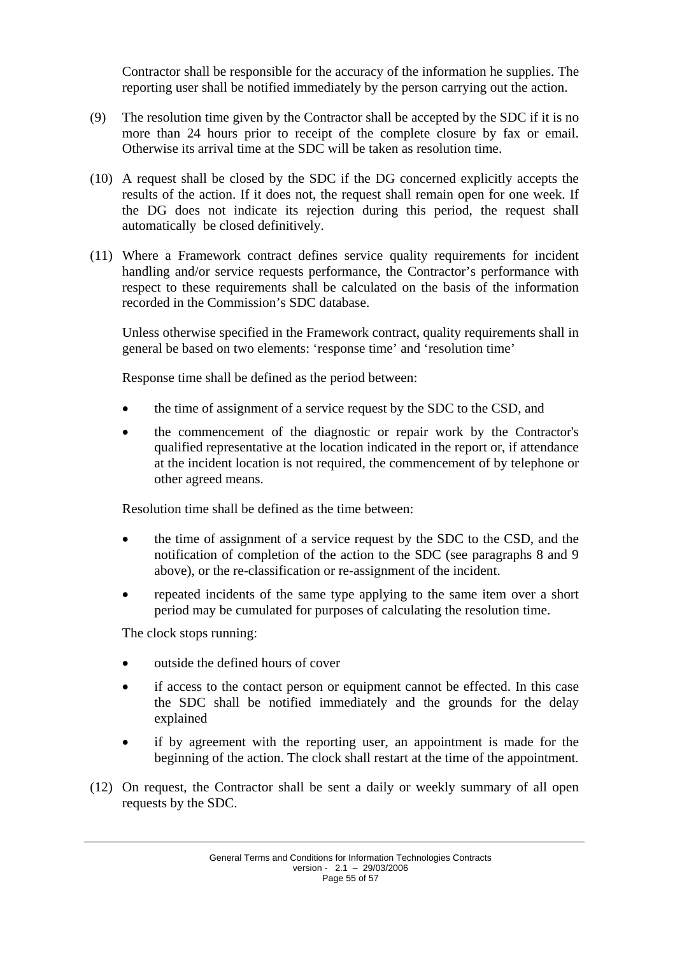Contractor shall be responsible for the accuracy of the information he supplies. The reporting user shall be notified immediately by the person carrying out the action.

- (9) The resolution time given by the Contractor shall be accepted by the SDC if it is no more than 24 hours prior to receipt of the complete closure by fax or email. Otherwise its arrival time at the SDC will be taken as resolution time.
- (10) A request shall be closed by the SDC if the DG concerned explicitly accepts the results of the action. If it does not, the request shall remain open for one week. If the DG does not indicate its rejection during this period, the request shall automatically be closed definitively.
- (11) Where a Framework contract defines service quality requirements for incident handling and/or service requests performance, the Contractor's performance with respect to these requirements shall be calculated on the basis of the information recorded in the Commission's SDC database.

Unless otherwise specified in the Framework contract, quality requirements shall in general be based on two elements: 'response time' and 'resolution time'

Response time shall be defined as the period between:

- the time of assignment of a service request by the SDC to the CSD, and
- the commencement of the diagnostic or repair work by the Contractor's qualified representative at the location indicated in the report or, if attendance at the incident location is not required, the commencement of by telephone or other agreed means.

Resolution time shall be defined as the time between:

- the time of assignment of a service request by the SDC to the CSD, and the notification of completion of the action to the SDC (see paragraphs 8 and 9 above), or the re-classification or re-assignment of the incident.
- repeated incidents of the same type applying to the same item over a short period may be cumulated for purposes of calculating the resolution time.

The clock stops running:

- outside the defined hours of cover
- if access to the contact person or equipment cannot be effected. In this case the SDC shall be notified immediately and the grounds for the delay explained
- if by agreement with the reporting user, an appointment is made for the beginning of the action. The clock shall restart at the time of the appointment.
- (12) On request, the Contractor shall be sent a daily or weekly summary of all open requests by the SDC.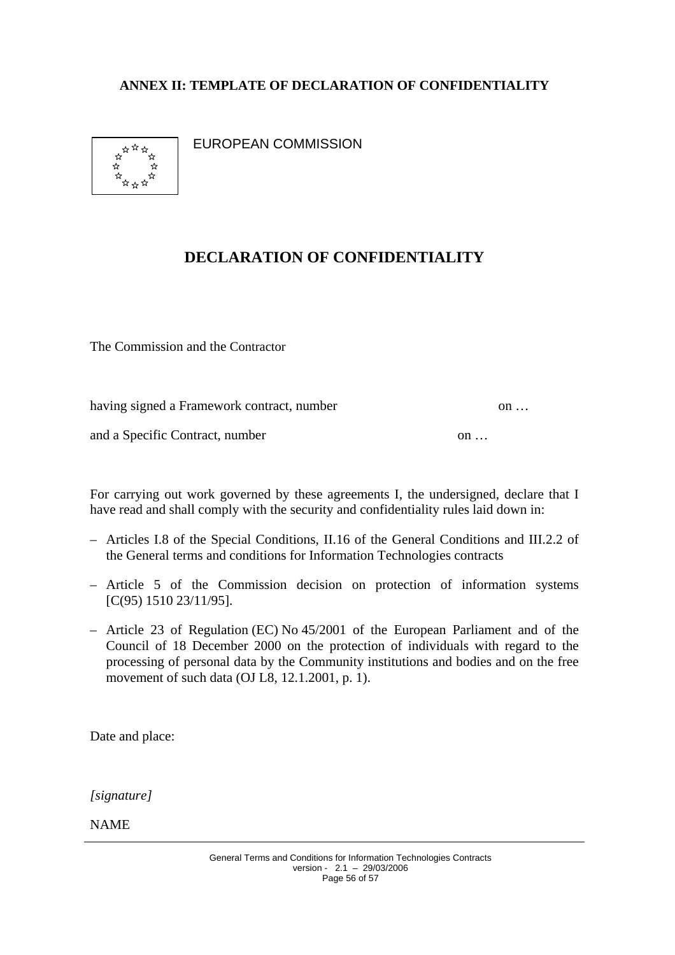## <span id="page-55-0"></span>**ANNEX II: TEMPLATE OF DECLARATION OF CONFIDENTIALITY**



EUROPEAN COMMISSION

# **DECLARATION OF CONFIDENTIALITY**

The Commission and the Contractor

having signed a Framework contract, number on ...

and a Specific Contract, number on ...

For carrying out work governed by these agreements I, the undersigned, declare that I have read and shall comply with the security and confidentiality rules laid down in:

- Articles I.8 of the Special Conditions, II.16 of the General Conditions and III.2.2 of the General terms and conditions for Information Technologies contracts
- Article 5 of the Commission decision on protection of information systems [C(95) 1510 23/11/95].
- Article 23 of Regulation (EC) No 45/2001 of the European Parliament and of the Council of 18 December 2000 on the protection of individuals with regard to the processing of personal data by the Community institutions and bodies and on the free movement of such data (OJ L8, 12.1.2001, p. 1).

Date and place:

*[signature]*

NAME